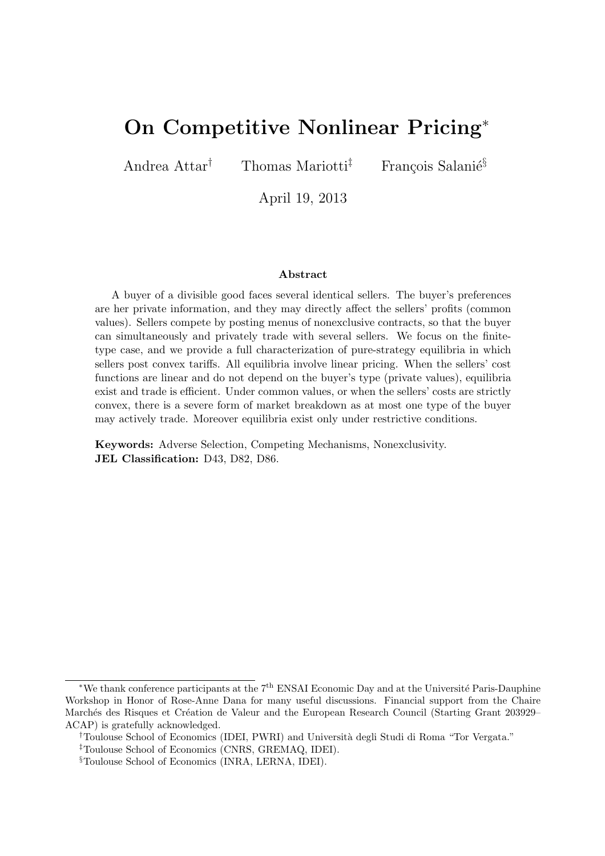# On Competitive Nonlinear Pricing<sup>∗</sup>

Andrea Attar<sup>†</sup> Thomas Mariotti<sup>‡</sup> François Salani $\acute{\text{e}}^{\S}$ 

April 19, 2013

#### Abstract

A buyer of a divisible good faces several identical sellers. The buyer's preferences are her private information, and they may directly affect the sellers' profits (common values). Sellers compete by posting menus of nonexclusive contracts, so that the buyer can simultaneously and privately trade with several sellers. We focus on the finitetype case, and we provide a full characterization of pure-strategy equilibria in which sellers post convex tariffs. All equilibria involve linear pricing. When the sellers' cost functions are linear and do not depend on the buyer's type (private values), equilibria exist and trade is efficient. Under common values, or when the sellers' costs are strictly convex, there is a severe form of market breakdown as at most one type of the buyer may actively trade. Moreover equilibria exist only under restrictive conditions.

Keywords: Adverse Selection, Competing Mechanisms, Nonexclusivity. JEL Classification: D43, D82, D86.

<sup>\*</sup>We thank conference participants at the 7<sup>th</sup> ENSAI Economic Day and at the Université Paris-Dauphine Workshop in Honor of Rose-Anne Dana for many useful discussions. Financial support from the Chaire Marchés des Risques et Création de Valeur and the European Research Council (Starting Grant 203929– ACAP) is gratefully acknowledged.

<sup>&</sup>lt;sup>†</sup>Toulouse School of Economics (IDEI, PWRI) and Università degli Studi di Roma "Tor Vergata."

<sup>‡</sup>Toulouse School of Economics (CNRS, GREMAQ, IDEI).

<sup>§</sup>Toulouse School of Economics (INRA, LERNA, IDEI).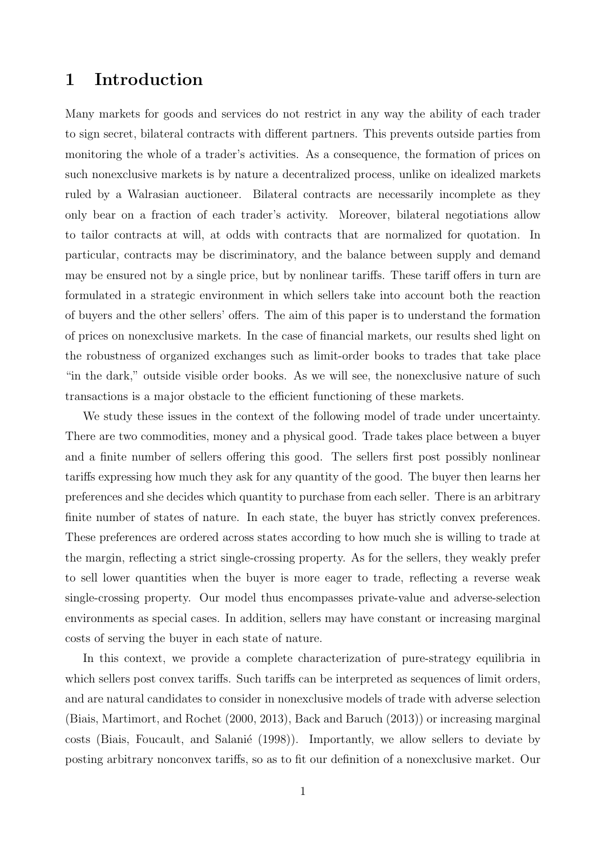### 1 Introduction

Many markets for goods and services do not restrict in any way the ability of each trader to sign secret, bilateral contracts with different partners. This prevents outside parties from monitoring the whole of a trader's activities. As a consequence, the formation of prices on such nonexclusive markets is by nature a decentralized process, unlike on idealized markets ruled by a Walrasian auctioneer. Bilateral contracts are necessarily incomplete as they only bear on a fraction of each trader's activity. Moreover, bilateral negotiations allow to tailor contracts at will, at odds with contracts that are normalized for quotation. In particular, contracts may be discriminatory, and the balance between supply and demand may be ensured not by a single price, but by nonlinear tariffs. These tariff offers in turn are formulated in a strategic environment in which sellers take into account both the reaction of buyers and the other sellers' offers. The aim of this paper is to understand the formation of prices on nonexclusive markets. In the case of financial markets, our results shed light on the robustness of organized exchanges such as limit-order books to trades that take place "in the dark," outside visible order books. As we will see, the nonexclusive nature of such transactions is a major obstacle to the efficient functioning of these markets.

We study these issues in the context of the following model of trade under uncertainty. There are two commodities, money and a physical good. Trade takes place between a buyer and a finite number of sellers offering this good. The sellers first post possibly nonlinear tariffs expressing how much they ask for any quantity of the good. The buyer then learns her preferences and she decides which quantity to purchase from each seller. There is an arbitrary finite number of states of nature. In each state, the buyer has strictly convex preferences. These preferences are ordered across states according to how much she is willing to trade at the margin, reflecting a strict single-crossing property. As for the sellers, they weakly prefer to sell lower quantities when the buyer is more eager to trade, reflecting a reverse weak single-crossing property. Our model thus encompasses private-value and adverse-selection environments as special cases. In addition, sellers may have constant or increasing marginal costs of serving the buyer in each state of nature.

In this context, we provide a complete characterization of pure-strategy equilibria in which sellers post convex tariffs. Such tariffs can be interpreted as sequences of limit orders, and are natural candidates to consider in nonexclusive models of trade with adverse selection (Biais, Martimort, and Rochet (2000, 2013), Back and Baruch (2013)) or increasing marginal costs (Biais, Foucault, and Salanié (1998)). Importantly, we allow sellers to deviate by posting arbitrary nonconvex tariffs, so as to fit our definition of a nonexclusive market. Our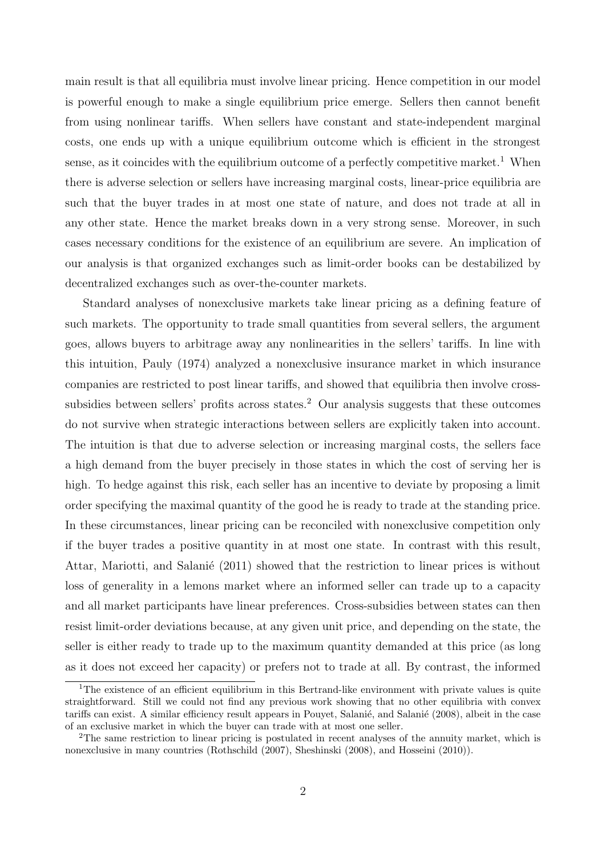main result is that all equilibria must involve linear pricing. Hence competition in our model is powerful enough to make a single equilibrium price emerge. Sellers then cannot benefit from using nonlinear tariffs. When sellers have constant and state-independent marginal costs, one ends up with a unique equilibrium outcome which is efficient in the strongest sense, as it coincides with the equilibrium outcome of a perfectly competitive market.<sup>1</sup> When there is adverse selection or sellers have increasing marginal costs, linear-price equilibria are such that the buyer trades in at most one state of nature, and does not trade at all in any other state. Hence the market breaks down in a very strong sense. Moreover, in such cases necessary conditions for the existence of an equilibrium are severe. An implication of our analysis is that organized exchanges such as limit-order books can be destabilized by decentralized exchanges such as over-the-counter markets.

Standard analyses of nonexclusive markets take linear pricing as a defining feature of such markets. The opportunity to trade small quantities from several sellers, the argument goes, allows buyers to arbitrage away any nonlinearities in the sellers' tariffs. In line with this intuition, Pauly (1974) analyzed a nonexclusive insurance market in which insurance companies are restricted to post linear tariffs, and showed that equilibria then involve crosssubsidies between sellers' profits across states.<sup>2</sup> Our analysis suggests that these outcomes do not survive when strategic interactions between sellers are explicitly taken into account. The intuition is that due to adverse selection or increasing marginal costs, the sellers face a high demand from the buyer precisely in those states in which the cost of serving her is high. To hedge against this risk, each seller has an incentive to deviate by proposing a limit order specifying the maximal quantity of the good he is ready to trade at the standing price. In these circumstances, linear pricing can be reconciled with nonexclusive competition only if the buyer trades a positive quantity in at most one state. In contrast with this result, Attar, Mariotti, and Salanie (2011) showed that the restriction to linear prices is without loss of generality in a lemons market where an informed seller can trade up to a capacity and all market participants have linear preferences. Cross-subsidies between states can then resist limit-order deviations because, at any given unit price, and depending on the state, the seller is either ready to trade up to the maximum quantity demanded at this price (as long as it does not exceed her capacity) or prefers not to trade at all. By contrast, the informed

<sup>&</sup>lt;sup>1</sup>The existence of an efficient equilibrium in this Bertrand-like environment with private values is quite straightforward. Still we could not find any previous work showing that no other equilibria with convex tariffs can exist. A similar efficiency result appears in Pouyet, Salanié, and Salanié (2008), albeit in the case of an exclusive market in which the buyer can trade with at most one seller.

<sup>2</sup>The same restriction to linear pricing is postulated in recent analyses of the annuity market, which is nonexclusive in many countries (Rothschild (2007), Sheshinski (2008), and Hosseini (2010)).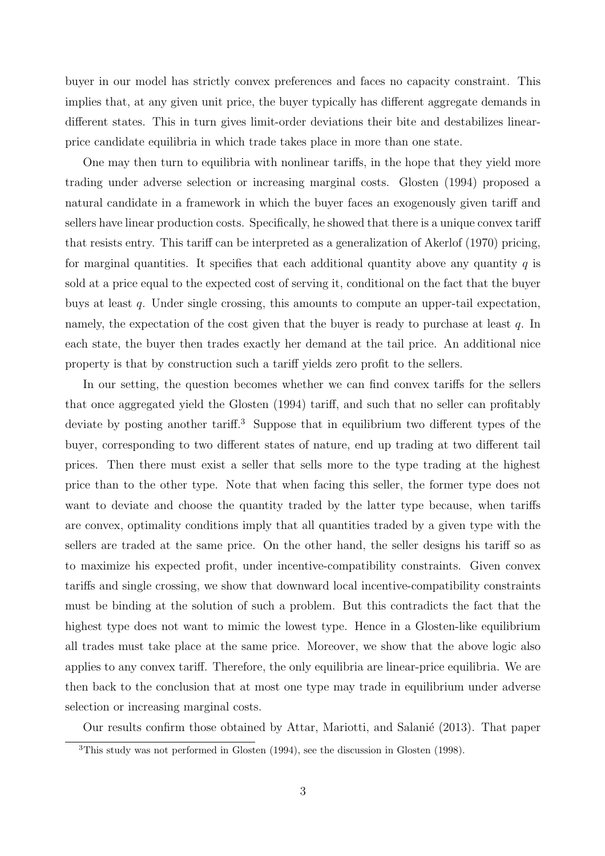buyer in our model has strictly convex preferences and faces no capacity constraint. This implies that, at any given unit price, the buyer typically has different aggregate demands in different states. This in turn gives limit-order deviations their bite and destabilizes linearprice candidate equilibria in which trade takes place in more than one state.

One may then turn to equilibria with nonlinear tariffs, in the hope that they yield more trading under adverse selection or increasing marginal costs. Glosten (1994) proposed a natural candidate in a framework in which the buyer faces an exogenously given tariff and sellers have linear production costs. Specifically, he showed that there is a unique convex tariff that resists entry. This tariff can be interpreted as a generalization of Akerlof (1970) pricing, for marginal quantities. It specifies that each additional quantity above any quantity  $q$  is sold at a price equal to the expected cost of serving it, conditional on the fact that the buyer buys at least q. Under single crossing, this amounts to compute an upper-tail expectation, namely, the expectation of the cost given that the buyer is ready to purchase at least  $q$ . In each state, the buyer then trades exactly her demand at the tail price. An additional nice property is that by construction such a tariff yields zero profit to the sellers.

In our setting, the question becomes whether we can find convex tariffs for the sellers that once aggregated yield the Glosten (1994) tariff, and such that no seller can profitably deviate by posting another tariff.<sup>3</sup> Suppose that in equilibrium two different types of the buyer, corresponding to two different states of nature, end up trading at two different tail prices. Then there must exist a seller that sells more to the type trading at the highest price than to the other type. Note that when facing this seller, the former type does not want to deviate and choose the quantity traded by the latter type because, when tariffs are convex, optimality conditions imply that all quantities traded by a given type with the sellers are traded at the same price. On the other hand, the seller designs his tariff so as to maximize his expected profit, under incentive-compatibility constraints. Given convex tariffs and single crossing, we show that downward local incentive-compatibility constraints must be binding at the solution of such a problem. But this contradicts the fact that the highest type does not want to mimic the lowest type. Hence in a Glosten-like equilibrium all trades must take place at the same price. Moreover, we show that the above logic also applies to any convex tariff. Therefore, the only equilibria are linear-price equilibria. We are then back to the conclusion that at most one type may trade in equilibrium under adverse selection or increasing marginal costs.

Our results confirm those obtained by Attar, Mariotti, and Salanie (2013). That paper

<sup>3</sup>This study was not performed in Glosten (1994), see the discussion in Glosten (1998).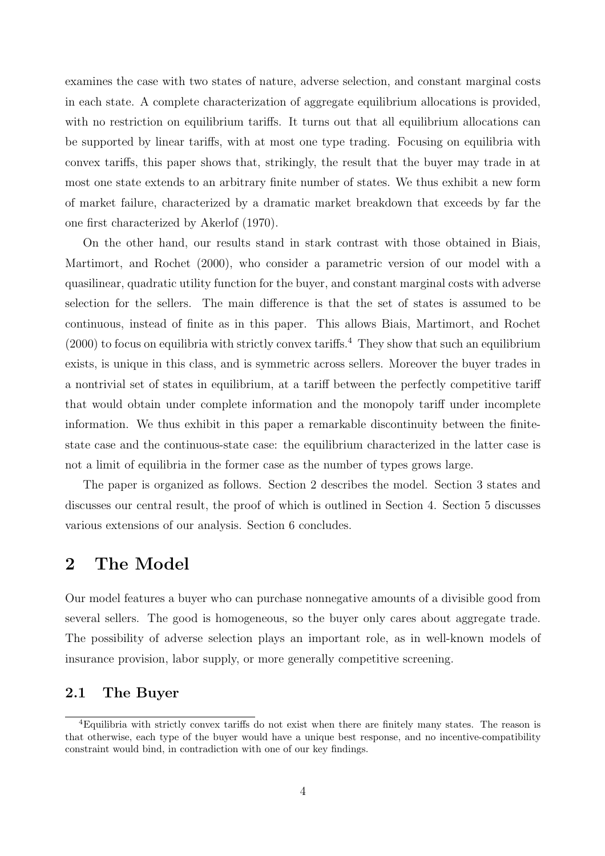examines the case with two states of nature, adverse selection, and constant marginal costs in each state. A complete characterization of aggregate equilibrium allocations is provided, with no restriction on equilibrium tariffs. It turns out that all equilibrium allocations can be supported by linear tariffs, with at most one type trading. Focusing on equilibria with convex tariffs, this paper shows that, strikingly, the result that the buyer may trade in at most one state extends to an arbitrary finite number of states. We thus exhibit a new form of market failure, characterized by a dramatic market breakdown that exceeds by far the one first characterized by Akerlof (1970).

On the other hand, our results stand in stark contrast with those obtained in Biais, Martimort, and Rochet (2000), who consider a parametric version of our model with a quasilinear, quadratic utility function for the buyer, and constant marginal costs with adverse selection for the sellers. The main difference is that the set of states is assumed to be continuous, instead of finite as in this paper. This allows Biais, Martimort, and Rochet  $(2000)$  to focus on equilibria with strictly convex tariffs.<sup>4</sup> They show that such an equilibrium exists, is unique in this class, and is symmetric across sellers. Moreover the buyer trades in a nontrivial set of states in equilibrium, at a tariff between the perfectly competitive tariff that would obtain under complete information and the monopoly tariff under incomplete information. We thus exhibit in this paper a remarkable discontinuity between the finitestate case and the continuous-state case: the equilibrium characterized in the latter case is not a limit of equilibria in the former case as the number of types grows large.

The paper is organized as follows. Section 2 describes the model. Section 3 states and discusses our central result, the proof of which is outlined in Section 4. Section 5 discusses various extensions of our analysis. Section 6 concludes.

### 2 The Model

Our model features a buyer who can purchase nonnegative amounts of a divisible good from several sellers. The good is homogeneous, so the buyer only cares about aggregate trade. The possibility of adverse selection plays an important role, as in well-known models of insurance provision, labor supply, or more generally competitive screening.

### 2.1 The Buyer

<sup>4</sup>Equilibria with strictly convex tariffs do not exist when there are finitely many states. The reason is that otherwise, each type of the buyer would have a unique best response, and no incentive-compatibility constraint would bind, in contradiction with one of our key findings.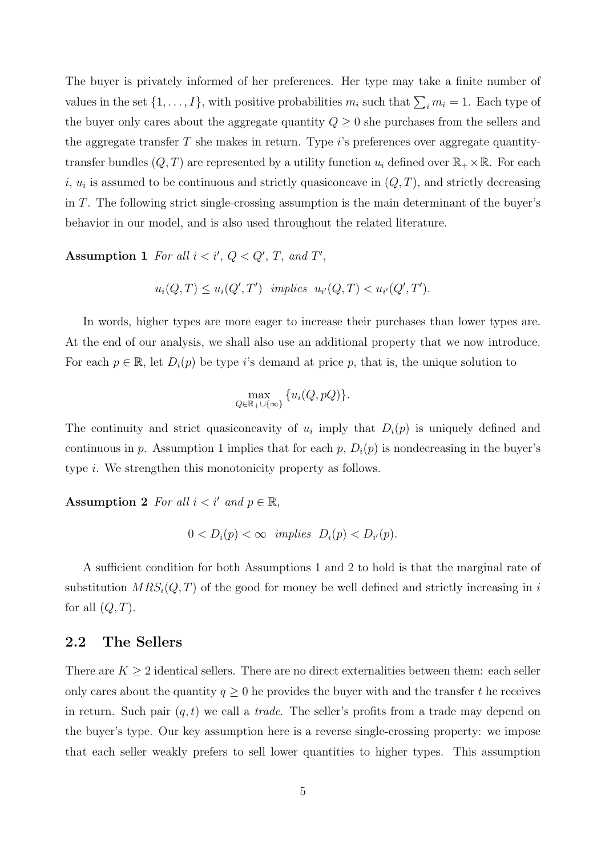The buyer is privately informed of her preferences. Her type may take a finite number of values in the set  $\{1, \ldots, I\}$ , with positive probabilities  $m_i$  such that  $\sum_i m_i = 1$ . Each type of the buyer only cares about the aggregate quantity  $Q \geq 0$  she purchases from the sellers and the aggregate transfer  $T$  she makes in return. Type  $i$ 's preferences over aggregate quantitytransfer bundles  $(Q, T)$  are represented by a utility function  $u_i$  defined over  $\mathbb{R}_+ \times \mathbb{R}$ . For each i,  $u_i$  is assumed to be continuous and strictly quasiconcave in  $(Q, T)$ , and strictly decreasing in T. The following strict single-crossing assumption is the main determinant of the buyer's behavior in our model, and is also used throughout the related literature.

Assumption 1 For all  $i < i', Q < Q', T,$  and T',

$$
u_i(Q,T) \le u_i(Q',T') \ \ implies \ u_{i'}(Q,T) < u_{i'}(Q',T').
$$

In words, higher types are more eager to increase their purchases than lower types are. At the end of our analysis, we shall also use an additional property that we now introduce. For each  $p \in \mathbb{R}$ , let  $D_i(p)$  be type i's demand at price p, that is, the unique solution to

$$
\max_{Q \in \mathbb{R}_+ \cup \{\infty\}} \{u_i(Q, pQ)\}.
$$

The continuity and strict quasiconcavity of  $u_i$  imply that  $D_i(p)$  is uniquely defined and continuous in p. Assumption 1 implies that for each p,  $D_i(p)$  is nondecreasing in the buyer's type i. We strengthen this monotonicity property as follows.

Assumption 2 For all  $i < i'$  and  $p \in \mathbb{R}$ ,

$$
0
$$

A sufficient condition for both Assumptions 1 and 2 to hold is that the marginal rate of substitution  $MRS_i(Q, T)$  of the good for money be well defined and strictly increasing in i for all  $(Q, T)$ .

#### 2.2 The Sellers

There are  $K \geq 2$  identical sellers. There are no direct externalities between them: each seller only cares about the quantity  $q \geq 0$  he provides the buyer with and the transfer t he receives in return. Such pair  $(q, t)$  we call a *trade*. The seller's profits from a trade may depend on the buyer's type. Our key assumption here is a reverse single-crossing property: we impose that each seller weakly prefers to sell lower quantities to higher types. This assumption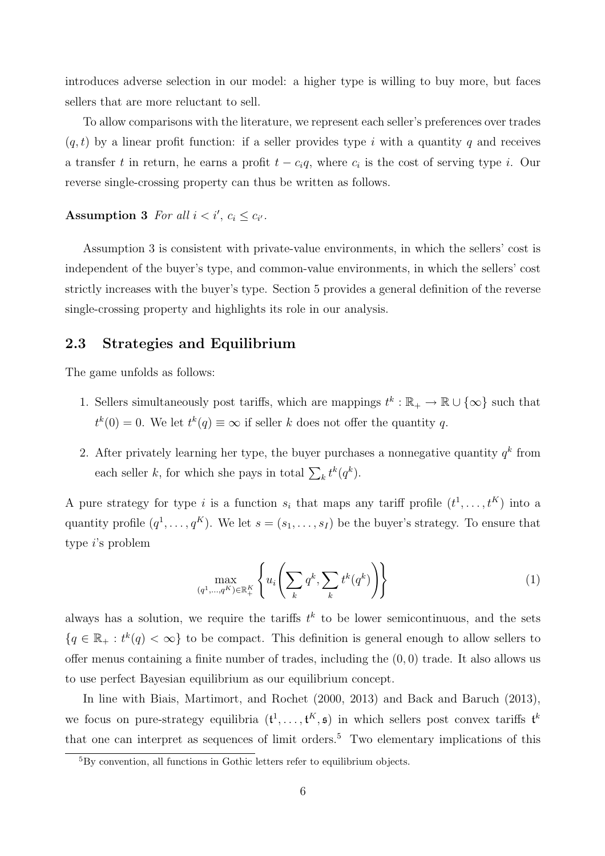introduces adverse selection in our model: a higher type is willing to buy more, but faces sellers that are more reluctant to sell.

To allow comparisons with the literature, we represent each seller's preferences over trades  $(q, t)$  by a linear profit function: if a seller provides type i with a quantity q and receives a transfer t in return, he earns a profit  $t - c_i q$ , where  $c_i$  is the cost of serving type i. Our reverse single-crossing property can thus be written as follows.

Assumption 3 For all  $i < i', c_i \leq c_{i'}$ .

Assumption 3 is consistent with private-value environments, in which the sellers' cost is independent of the buyer's type, and common-value environments, in which the sellers' cost strictly increases with the buyer's type. Section 5 provides a general definition of the reverse single-crossing property and highlights its role in our analysis.

#### 2.3 Strategies and Equilibrium

The game unfolds as follows:

- 1. Sellers simultaneously post tariffs, which are mappings  $t^k : \mathbb{R}_+ \to \mathbb{R} \cup \{\infty\}$  such that  $t^{k}(0) = 0$ . We let  $t^{k}(q) \equiv \infty$  if seller k does not offer the quantity q.
- 2. After privately learning her type, the buyer purchases a nonnegative quantity  $q^k$  from each seller k, for which she pays in total  $\sum_k t^k(q^k)$ .

A pure strategy for type i is a function  $s_i$  that maps any tariff profile  $(t^1, \ldots, t^K)$  into a quantity profile  $(q^1, \ldots, q^K)$ . We let  $s = (s_1, \ldots, s_I)$  be the buyer's strategy. To ensure that type i's problem

$$
\max_{(q^1,\ldots,q^K)\in\mathbb{R}_+^K} \left\{ u_i \left( \sum_k q^k, \sum_k t^k (q^k) \right) \right\} \tag{1}
$$

always has a solution, we require the tariffs  $t^k$  to be lower semicontinuous, and the sets  ${q \in \mathbb{R}_+ : t^k(q) < \infty}$  to be compact. This definition is general enough to allow sellers to offer menus containing a finite number of trades, including the  $(0, 0)$  trade. It also allows us to use perfect Bayesian equilibrium as our equilibrium concept.

In line with Biais, Martimort, and Rochet (2000, 2013) and Back and Baruch (2013), we focus on pure-strategy equilibria  $(t^1, \ldots, t^K, \mathfrak{s})$  in which sellers post convex tariffs  $t^k$ that one can interpret as sequences of limit orders.<sup>5</sup> Two elementary implications of this

<sup>5</sup>By convention, all functions in Gothic letters refer to equilibrium objects.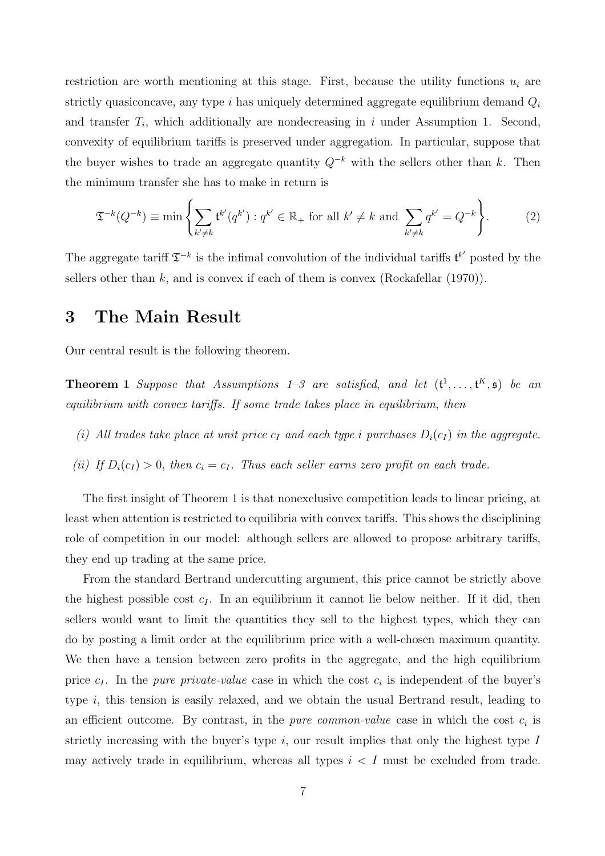restriction are worth mentioning at this stage. First, because the utility functions  $u_i$  are strictly quasiconcave, any type  $i$  has uniquely determined aggregate equilibrium demand  $Q_i$ and transfer  $T_i$ , which additionally are nondecreasing in i under Assumption 1. Second, convexity of equilibrium tariffs is preserved under aggregation. In particular, suppose that the buyer wishes to trade an aggregate quantity  $Q^{-k}$  with the sellers other than k. Then the minimum transfer she has to make in return is

$$
\mathfrak{T}^{-k}(Q^{-k}) \equiv \min \left\{ \sum_{k' \neq k} \mathfrak{t}^{k'}(q^{k'}) : q^{k'} \in \mathbb{R}_+ \text{ for all } k' \neq k \text{ and } \sum_{k' \neq k} q^{k'} = Q^{-k} \right\}.
$$
 (2)

The aggregate tariff  $\mathfrak{T}^{-k}$  is the infimal convolution of the individual tariffs  $\mathfrak{t}^{k'}$  posted by the sellers other than  $k$ , and is convex if each of them is convex (Rockafellar (1970)).

### 3 The Main Result

Our central result is the following theorem.

**Theorem 1** Suppose that Assumptions 1–3 are satisfied, and let  $(\mathfrak{t}^1, \ldots, \mathfrak{t}^K, \mathfrak{s})$  be an equilibrium with convex tariffs. If some trade takes place in equilibrium, then

- (i) All trades take place at unit price  $c_I$  and each type i purchases  $D_i(c_I)$  in the aggregate.
- (ii) If  $D_i(c_I) > 0$ , then  $c_i = c_I$ . Thus each seller earns zero profit on each trade.

The first insight of Theorem 1 is that nonexclusive competition leads to linear pricing, at least when attention is restricted to equilibria with convex tariffs. This shows the disciplining role of competition in our model: although sellers are allowed to propose arbitrary tariffs, they end up trading at the same price.

From the standard Bertrand undercutting argument, this price cannot be strictly above the highest possible cost  $c_I$ . In an equilibrium it cannot lie below neither. If it did, then sellers would want to limit the quantities they sell to the highest types, which they can do by posting a limit order at the equilibrium price with a well-chosen maximum quantity. We then have a tension between zero profits in the aggregate, and the high equilibrium price  $c_I$ . In the *pure private-value* case in which the cost  $c_i$  is independent of the buyer's type i, this tension is easily relaxed, and we obtain the usual Bertrand result, leading to an efficient outcome. By contrast, in the *pure common-value* case in which the cost  $c_i$  is strictly increasing with the buyer's type  $i$ , our result implies that only the highest type  $I$ may actively trade in equilibrium, whereas all types  $i < I$  must be excluded from trade.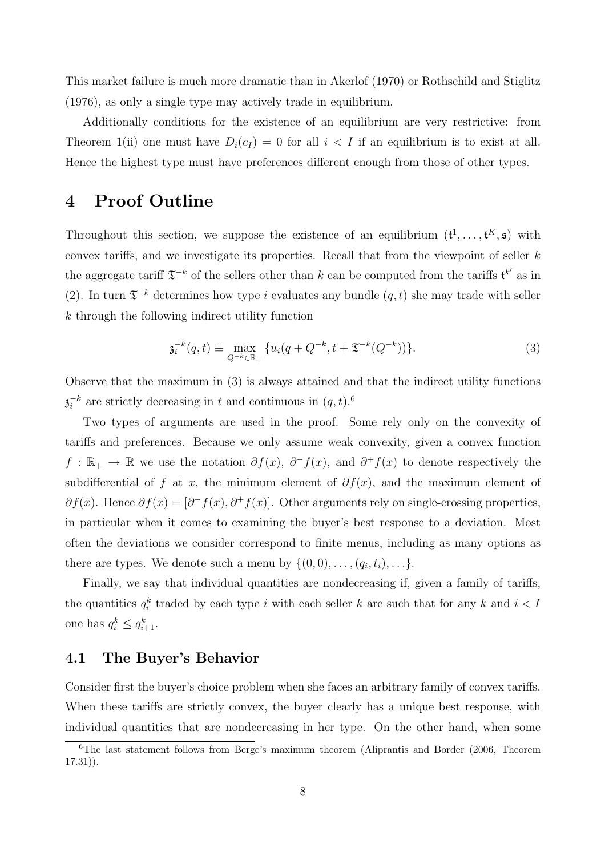This market failure is much more dramatic than in Akerlof (1970) or Rothschild and Stiglitz (1976), as only a single type may actively trade in equilibrium.

Additionally conditions for the existence of an equilibrium are very restrictive: from Theorem 1(ii) one must have  $D_i(c_I) = 0$  for all  $i < I$  if an equilibrium is to exist at all. Hence the highest type must have preferences different enough from those of other types.

## 4 Proof Outline

Throughout this section, we suppose the existence of an equilibrium  $(\mathfrak{t}^1, \ldots, \mathfrak{t}^K, \mathfrak{s})$  with convex tariffs, and we investigate its properties. Recall that from the viewpoint of seller  $k$ the aggregate tariff  $\mathfrak{T}^{-k}$  of the sellers other than k can be computed from the tariffs  $\mathfrak{t}^{k'}$  as in (2). In turn  $\mathfrak{T}^{-k}$  determines how type i evaluates any bundle  $(q, t)$  she may trade with seller k through the following indirect utility function

$$
\mathfrak{z}_{i}^{-k}(q,t) \equiv \max_{Q^{-k}\in\mathbb{R}_{+}} \{ u_{i}(q+Q^{-k}, t+\mathfrak{T}^{-k}(Q^{-k})) \}.
$$
 (3)

Observe that the maximum in (3) is always attained and that the indirect utility functions  $\overline{\mathfrak{z}}_i^{-k}$  $i<sup>k</sup>$  are strictly decreasing in t and continuous in  $(q, t)<sup>6</sup>$ 

Two types of arguments are used in the proof. Some rely only on the convexity of tariffs and preferences. Because we only assume weak convexity, given a convex function  $f: \mathbb{R}_+ \to \mathbb{R}$  we use the notation  $\partial f(x)$ ,  $\partial^- f(x)$ , and  $\partial^+ f(x)$  to denote respectively the subdifferential of f at x, the minimum element of  $\partial f(x)$ , and the maximum element of  $\partial f(x)$ . Hence  $\partial f(x) = [\partial^- f(x), \partial^+ f(x)]$ . Other arguments rely on single-crossing properties, in particular when it comes to examining the buyer's best response to a deviation. Most often the deviations we consider correspond to finite menus, including as many options as there are types. We denote such a menu by  $\{(0,0), \ldots, (q_i, t_i), \ldots\}.$ 

Finally, we say that individual quantities are nondecreasing if, given a family of tariffs, the quantities  $q_i^k$  traded by each type i with each seller k are such that for any k and  $i < I$ one has  $q_i^k \leq q_{i+1}^k$ .

### 4.1 The Buyer's Behavior

Consider first the buyer's choice problem when she faces an arbitrary family of convex tariffs. When these tariffs are strictly convex, the buyer clearly has a unique best response, with individual quantities that are nondecreasing in her type. On the other hand, when some

<sup>6</sup>The last statement follows from Berge's maximum theorem (Aliprantis and Border (2006, Theorem 17.31)).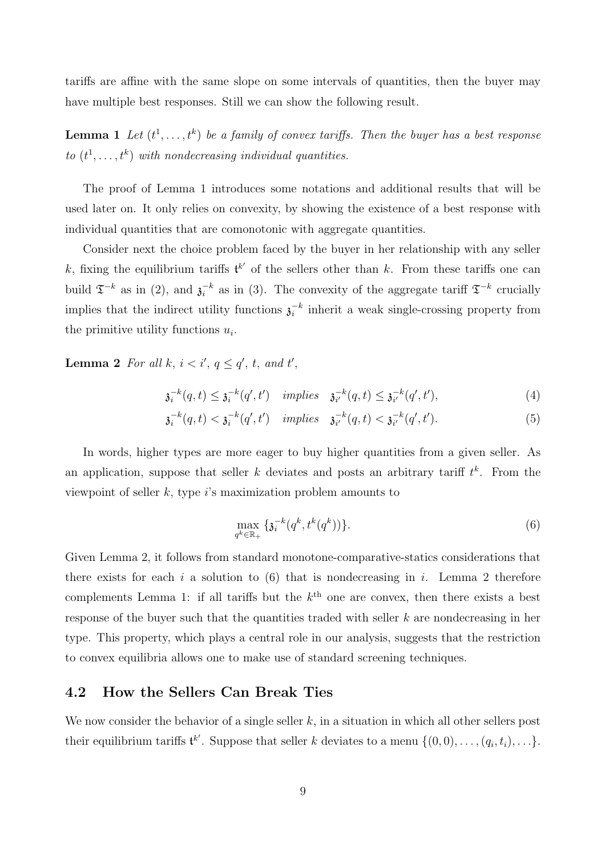tariffs are affine with the same slope on some intervals of quantities, then the buyer may have multiple best responses. Still we can show the following result.

**Lemma 1** Let  $(t^1, \ldots, t^k)$  be a family of convex tariffs. Then the buyer has a best response to  $(t^1, \ldots, t^k)$  with nondecreasing individual quantities.

The proof of Lemma 1 introduces some notations and additional results that will be used later on. It only relies on convexity, by showing the existence of a best response with individual quantities that are comonotonic with aggregate quantities.

Consider next the choice problem faced by the buyer in her relationship with any seller k, fixing the equilibrium tariffs  $\mathfrak{t}^{k'}$  of the sellers other than k. From these tariffs one can build  $\mathfrak{T}^{-k}$  as in (2), and  $\mathfrak{z}_i^{-k}$  $i<sup>k</sup>$  as in (3). The convexity of the aggregate tariff  $\mathfrak{T}^{-k}$  crucially implies that the indirect utility functions  $\lambda_i^{-k}$  $i<sup>k</sup>$  inherit a weak single-crossing property from the primitive utility functions  $u_i$ .

**Lemma 2** For all k,  $i < i'$ ,  $q \leq q'$ , t, and t',

$$
\mathfrak{z}_i^{-k}(q,t) \le \mathfrak{z}_i^{-k}(q',t') \quad implies \quad \mathfrak{z}_{i'}^{-k}(q,t) \le \mathfrak{z}_{i'}^{-k}(q',t'),\tag{4}
$$

$$
\mathfrak{z}_{i}^{-k}(q,t) < \mathfrak{z}_{i}^{-k}(q',t') \quad implies \quad \mathfrak{z}_{i'}^{-k}(q,t) < \mathfrak{z}_{i'}^{-k}(q',t'). \tag{5}
$$

In words, higher types are more eager to buy higher quantities from a given seller. As an application, suppose that seller k deviates and posts an arbitrary tariff  $t^k$ . From the viewpoint of seller  $k$ , type  $i$ 's maximization problem amounts to

$$
\max_{q^k \in \mathbb{R}_+} \{ \mathfrak{z}_i^{-k}(q^k, t^k(q^k)) \}.
$$
 (6)

Given Lemma 2, it follows from standard monotone-comparative-statics considerations that there exists for each i a solution to  $(6)$  that is nondecreasing in i. Lemma 2 therefore complements Lemma 1: if all tariffs but the  $k^{\text{th}}$  one are convex, then there exists a best response of the buyer such that the quantities traded with seller k are nondecreasing in her type. This property, which plays a central role in our analysis, suggests that the restriction to convex equilibria allows one to make use of standard screening techniques.

#### 4.2 How the Sellers Can Break Ties

We now consider the behavior of a single seller  $k$ , in a situation in which all other sellers post their equilibrium tariffs  $\mathfrak{t}^{k'}$ . Suppose that seller k deviates to a menu  $\{(0,0), \ldots, (q_i, t_i), \ldots\}$ .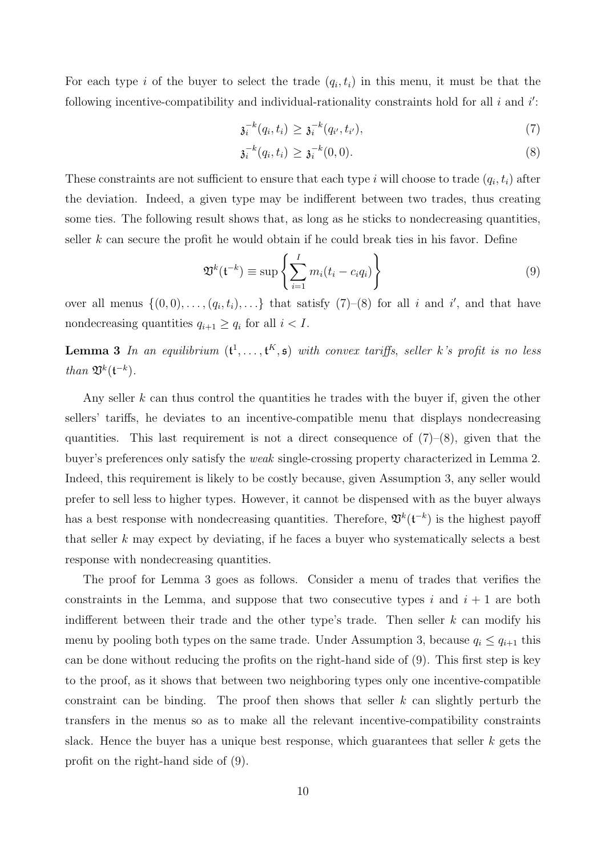For each type i of the buyer to select the trade  $(q_i, t_i)$  in this menu, it must be that the following incentive-compatibility and individual-rationality constraints hold for all  $i$  and  $i'$ :

$$
\mathfrak{z}_{i}^{-k}(q_{i},t_{i}) \geq \mathfrak{z}_{i}^{-k}(q_{i'},t_{i'}), \tag{7}
$$

$$
\mathfrak{z}_i^{-k}(q_i, t_i) \ge \mathfrak{z}_i^{-k}(0, 0). \tag{8}
$$

These constraints are not sufficient to ensure that each type i will choose to trade  $(q_i, t_i)$  after the deviation. Indeed, a given type may be indifferent between two trades, thus creating some ties. The following result shows that, as long as he sticks to nondecreasing quantities, seller  $k$  can secure the profit he would obtain if he could break ties in his favor. Define

$$
\mathfrak{V}^k(\mathfrak{t}^{-k}) \equiv \sup \left\{ \sum_{i=1}^I m_i(t_i - c_i q_i) \right\} \tag{9}
$$

over all menus  $\{(0,0),\ldots,(q_i,t_i),\ldots\}$  that satisfy  $(7)-(8)$  for all i and i', and that have nondecreasing quantities  $q_{i+1} \geq q_i$  for all  $i < I$ .

**Lemma 3** In an equilibrium  $(t^1, \ldots, t^K, \mathfrak{s})$  with convex tariffs, seller k's profit is no less than  $\mathfrak{V}^k(\mathfrak{t}^{-k})$ .

Any seller k can thus control the quantities he trades with the buyer if, given the other sellers' tariffs, he deviates to an incentive-compatible menu that displays nondecreasing quantities. This last requirement is not a direct consequence of  $(7)-(8)$ , given that the buyer's preferences only satisfy the weak single-crossing property characterized in Lemma 2. Indeed, this requirement is likely to be costly because, given Assumption 3, any seller would prefer to sell less to higher types. However, it cannot be dispensed with as the buyer always has a best response with nondecreasing quantities. Therefore,  $\mathfrak{V}^k(\mathfrak{t}^{-k})$  is the highest payoff that seller  $k$  may expect by deviating, if he faces a buyer who systematically selects a best response with nondecreasing quantities.

The proof for Lemma 3 goes as follows. Consider a menu of trades that verifies the constraints in the Lemma, and suppose that two consecutive types i and  $i + 1$  are both indifferent between their trade and the other type's trade. Then seller  $k$  can modify his menu by pooling both types on the same trade. Under Assumption 3, because  $q_i \leq q_{i+1}$  this can be done without reducing the profits on the right-hand side of (9). This first step is key to the proof, as it shows that between two neighboring types only one incentive-compatible constraint can be binding. The proof then shows that seller  $k$  can slightly perturb the transfers in the menus so as to make all the relevant incentive-compatibility constraints slack. Hence the buyer has a unique best response, which guarantees that seller  $k$  gets the profit on the right-hand side of (9).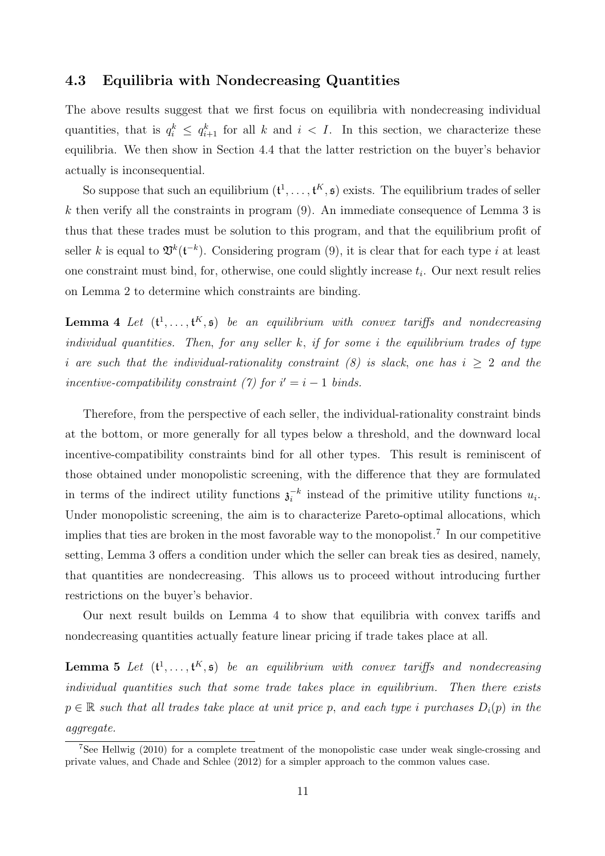#### 4.3 Equilibria with Nondecreasing Quantities

The above results suggest that we first focus on equilibria with nondecreasing individual quantities, that is  $q_i^k \leq q_{i+1}^k$  for all k and  $i < I$ . In this section, we characterize these equilibria. We then show in Section 4.4 that the latter restriction on the buyer's behavior actually is inconsequential.

So suppose that such an equilibrium  $(\mathfrak{t}^1, \ldots, \mathfrak{t}^K, \mathfrak{s})$  exists. The equilibrium trades of seller k then verify all the constraints in program  $(9)$ . An immediate consequence of Lemma 3 is thus that these trades must be solution to this program, and that the equilibrium profit of seller k is equal to  $\mathfrak{V}^k(\mathfrak{t}^{-k})$ . Considering program (9), it is clear that for each type i at least one constraint must bind, for, otherwise, one could slightly increase  $t_i$ . Our next result relies on Lemma 2 to determine which constraints are binding.

**Lemma 4** Let  $(\mathbf{t}^1, \ldots, \mathbf{t}^K, \mathfrak{s})$  be an equilibrium with convex tariffs and nondecreasing individual quantities. Then, for any seller  $k$ , if for some i the equilibrium trades of type i are such that the individual-rationality constraint (8) is slack, one has  $i \geq 2$  and the incentive-compatibility constraint (7) for  $i' = i - 1$  binds.

Therefore, from the perspective of each seller, the individual-rationality constraint binds at the bottom, or more generally for all types below a threshold, and the downward local incentive-compatibility constraints bind for all other types. This result is reminiscent of those obtained under monopolistic screening, with the difference that they are formulated in terms of the indirect utility functions  $\mathfrak{z}_i^{-k}$  $i^{-k}$  instead of the primitive utility functions  $u_i$ . Under monopolistic screening, the aim is to characterize Pareto-optimal allocations, which implies that ties are broken in the most favorable way to the monopolist.<sup>7</sup> In our competitive setting, Lemma 3 offers a condition under which the seller can break ties as desired, namely, that quantities are nondecreasing. This allows us to proceed without introducing further restrictions on the buyer's behavior.

Our next result builds on Lemma 4 to show that equilibria with convex tariffs and nondecreasing quantities actually feature linear pricing if trade takes place at all.

**Lemma 5** Let  $(\mathbf{t}^1, \ldots, \mathbf{t}^K, \mathfrak{s})$  be an equilibrium with convex tariffs and nondecreasing individual quantities such that some trade takes place in equilibrium. Then there exists  $p \in \mathbb{R}$  such that all trades take place at unit price p, and each type i purchases  $D_i(p)$  in the aggregate.

<sup>7</sup>See Hellwig (2010) for a complete treatment of the monopolistic case under weak single-crossing and private values, and Chade and Schlee (2012) for a simpler approach to the common values case.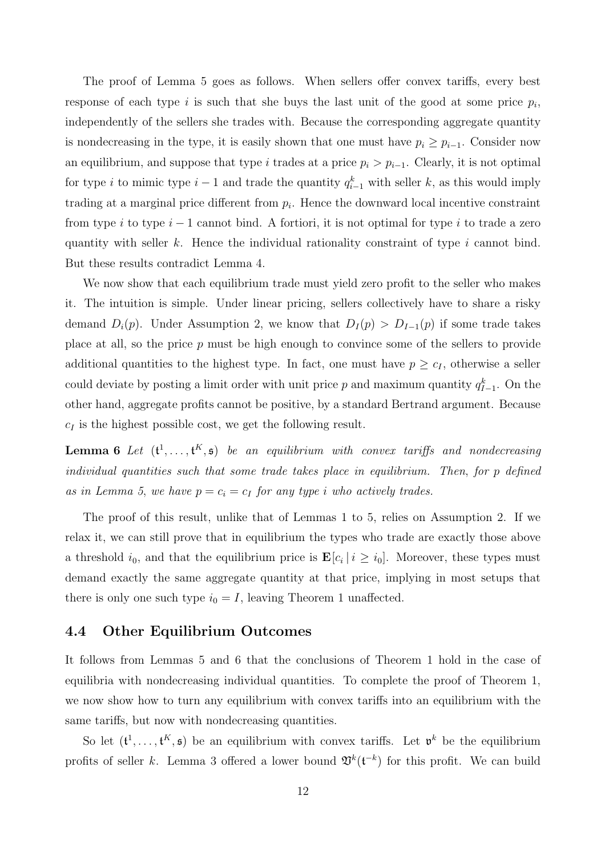The proof of Lemma 5 goes as follows. When sellers offer convex tariffs, every best response of each type  $i$  is such that she buys the last unit of the good at some price  $p_i$ , independently of the sellers she trades with. Because the corresponding aggregate quantity is nondecreasing in the type, it is easily shown that one must have  $p_i \geq p_{i-1}$ . Consider now an equilibrium, and suppose that type i trades at a price  $p_i > p_{i-1}$ . Clearly, it is not optimal for type i to mimic type  $i-1$  and trade the quantity  $q_{i-1}^k$  with seller k, as this would imply trading at a marginal price different from  $p_i$ . Hence the downward local incentive constraint from type i to type  $i-1$  cannot bind. A fortiori, it is not optimal for type i to trade a zero quantity with seller k. Hence the individual rationality constraint of type  $i$  cannot bind. But these results contradict Lemma 4.

We now show that each equilibrium trade must yield zero profit to the seller who makes it. The intuition is simple. Under linear pricing, sellers collectively have to share a risky demand  $D_i(p)$ . Under Assumption 2, we know that  $D_i(p) > D_{i-1}(p)$  if some trade takes place at all, so the price p must be high enough to convince some of the sellers to provide additional quantities to the highest type. In fact, one must have  $p \geq c_I$ , otherwise a seller could deviate by posting a limit order with unit price p and maximum quantity  $q_{I-1}^k$ . On the other hand, aggregate profits cannot be positive, by a standard Bertrand argument. Because  $c_I$  is the highest possible cost, we get the following result.

**Lemma 6** Let  $(\mathbf{t}^1, \ldots, \mathbf{t}^K, \mathfrak{s})$  be an equilibrium with convex tariffs and nondecreasing individual quantities such that some trade takes place in equilibrium. Then, for p defined as in Lemma 5, we have  $p = c_i = c_I$  for any type i who actively trades.

The proof of this result, unlike that of Lemmas 1 to 5, relies on Assumption 2. If we relax it, we can still prove that in equilibrium the types who trade are exactly those above a threshold  $i_0$ , and that the equilibrium price is  $\mathbf{E}[c_i | i \geq i_0]$ . Moreover, these types must demand exactly the same aggregate quantity at that price, implying in most setups that there is only one such type  $i_0 = I$ , leaving Theorem 1 unaffected.

#### 4.4 Other Equilibrium Outcomes

It follows from Lemmas 5 and 6 that the conclusions of Theorem 1 hold in the case of equilibria with nondecreasing individual quantities. To complete the proof of Theorem 1, we now show how to turn any equilibrium with convex tariffs into an equilibrium with the same tariffs, but now with nondecreasing quantities.

So let  $(\mathfrak{t}^1,\ldots,\mathfrak{t}^K,\mathfrak{s})$  be an equilibrium with convex tariffs. Let  $\mathfrak{v}^k$  be the equilibrium profits of seller k. Lemma 3 offered a lower bound  $\mathfrak{V}^k(\mathfrak{t}^{-k})$  for this profit. We can build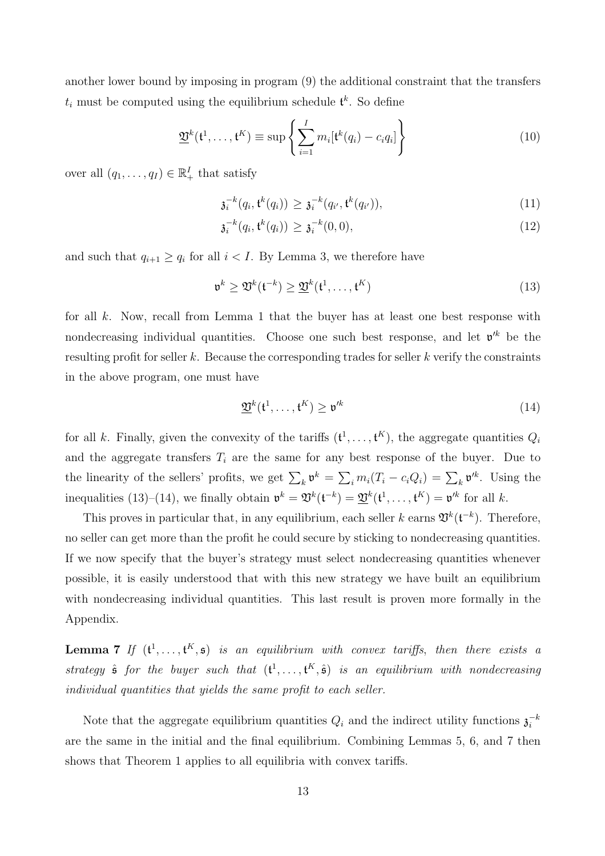another lower bound by imposing in program (9) the additional constraint that the transfers  $t_i$  must be computed using the equilibrium schedule  $\mathfrak{t}^k$ . So define

$$
\underline{\mathfrak{V}}^k(\mathfrak{t}^1,\ldots,\mathfrak{t}^K) \equiv \sup \left\{ \sum_{i=1}^I m_i [\mathfrak{t}^k(q_i) - c_i q_i] \right\} \tag{10}
$$

over all  $(q_1, \ldots, q_I) \in \mathbb{R}^I_+$  that satisfy

$$
\mathfrak{z}_{i}^{-k}(q_{i},\mathfrak{t}^{k}(q_{i})) \geq \mathfrak{z}_{i}^{-k}(q_{i'},\mathfrak{t}^{k}(q_{i'})),\tag{11}
$$

$$
\mathfrak{z}_i^{-k}(q_i, \mathfrak{t}^k(q_i)) \ge \mathfrak{z}_i^{-k}(0, 0),\tag{12}
$$

and such that  $q_{i+1} \geq q_i$  for all  $i < I$ . By Lemma 3, we therefore have

$$
\mathfrak{v}^k \ge \mathfrak{V}^k(\mathfrak{t}^{-k}) \ge \underline{\mathfrak{V}}^k(\mathfrak{t}^1, \dots, \mathfrak{t}^K)
$$
\n(13)

for all  $k$ . Now, recall from Lemma 1 that the buyer has at least one best response with nondecreasing individual quantities. Choose one such best response, and let  $v^k$  be the resulting profit for seller k. Because the corresponding trades for seller k verify the constraints in the above program, one must have

$$
\underline{\mathfrak{V}}^k(\mathfrak{t}^1, \dots, \mathfrak{t}^K) \ge \mathfrak{v}'^k \tag{14}
$$

for all k. Finally, given the convexity of the tariffs  $(\mathfrak{t}^1, \ldots, \mathfrak{t}^K)$ , the aggregate quantities  $Q_i$ and the aggregate transfers  $T_i$  are the same for any best response of the buyer. Due to the linearity of the sellers' profits, we get  $\sum_k \mathfrak{v}^k = \sum_i m_i (T_i - c_i Q_i) = \sum_k \mathfrak{v}'^k$ . Using the inequalities (13)–(14), we finally obtain  $\mathfrak{v}^k = \mathfrak{V}^k(\mathfrak{t}^{-k}) = \underline{\mathfrak{V}}^k(\mathfrak{t}^1, \dots, \mathfrak{t}^K) = \mathfrak{v}^k$  for all k.

This proves in particular that, in any equilibrium, each seller k earns  $\mathfrak{V}^k(\mathfrak{t}^{-k})$ . Therefore, no seller can get more than the profit he could secure by sticking to nondecreasing quantities. If we now specify that the buyer's strategy must select nondecreasing quantities whenever possible, it is easily understood that with this new strategy we have built an equilibrium with nondecreasing individual quantities. This last result is proven more formally in the Appendix.

**Lemma 7** If  $(t^1, \ldots, t^K, \mathfrak{s})$  is an equilibrium with convex tariffs, then there exists a strategy  $\hat{\mathfrak{s}}$  for the buyer such that  $(\mathfrak{t}^1, \ldots, \mathfrak{t}^K, \hat{\mathfrak{s}})$  is an equilibrium with nondecreasing individual quantities that yields the same profit to each seller.

Note that the aggregate equilibrium quantities  $Q_i$  and the indirect utility functions  $\mathfrak{z}_i^{-k}$ i are the same in the initial and the final equilibrium. Combining Lemmas 5, 6, and 7 then shows that Theorem 1 applies to all equilibria with convex tariffs.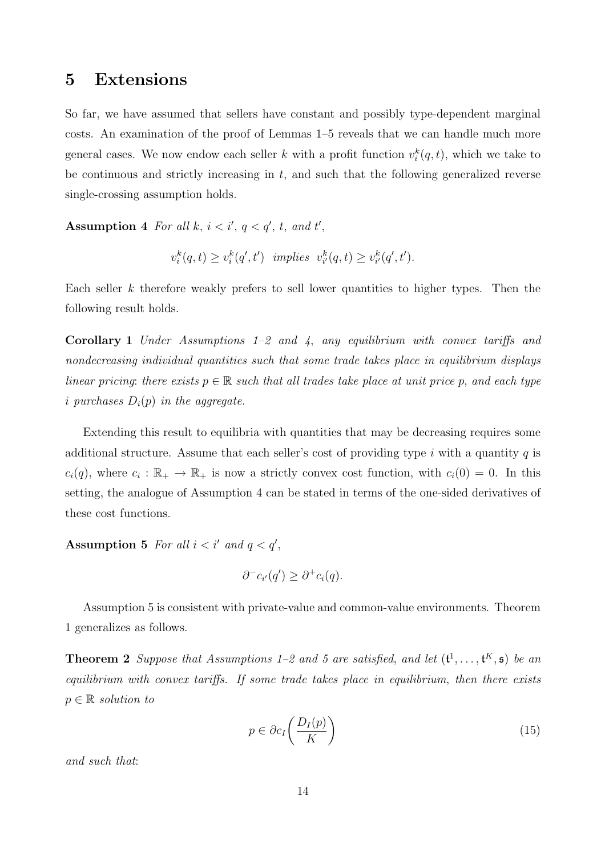### 5 Extensions

So far, we have assumed that sellers have constant and possibly type-dependent marginal costs. An examination of the proof of Lemmas 1–5 reveals that we can handle much more general cases. We now endow each seller k with a profit function  $v_i^k(q, t)$ , which we take to be continuous and strictly increasing in  $t$ , and such that the following generalized reverse single-crossing assumption holds.

Assumption 4 For all k,  $i < i'$ ,  $q < q'$ , t, and t',

$$
v_i^k(q,t) \ge v_i^k(q',t') \quad implies \quad v_{i'}^k(q,t) \ge v_{i'}^k(q',t').
$$

Each seller  $k$  therefore weakly prefers to sell lower quantities to higher types. Then the following result holds.

**Corollary 1** Under Assumptions  $1-2$  and  $4$ , any equilibrium with convex tariffs and nondecreasing individual quantities such that some trade takes place in equilibrium displays linear pricing: there exists  $p \in \mathbb{R}$  such that all trades take place at unit price p, and each type i purchases  $D_i(p)$  in the aggregate.

Extending this result to equilibria with quantities that may be decreasing requires some additional structure. Assume that each seller's cost of providing type i with a quantity  $q$  is  $c_i(q)$ , where  $c_i : \mathbb{R}_+ \to \mathbb{R}_+$  is now a strictly convex cost function, with  $c_i(0) = 0$ . In this setting, the analogue of Assumption 4 can be stated in terms of the one-sided derivatives of these cost functions.

Assumption 5 For all  $i < i'$  and  $q < q'$ ,

$$
\partial^- c_{i'}(q') \geq \partial^+ c_i(q).
$$

Assumption 5 is consistent with private-value and common-value environments. Theorem 1 generalizes as follows.

**Theorem 2** Suppose that Assumptions 1–2 and 5 are satisfied, and let  $(\mathfrak{t}^1, \ldots, \mathfrak{t}^K, \mathfrak{s})$  be an equilibrium with convex tariffs. If some trade takes place in equilibrium, then there exists  $p \in \mathbb{R}$  solution to

$$
p \in \partial c_I \left( \frac{D_I(p)}{K} \right) \tag{15}
$$

and such that: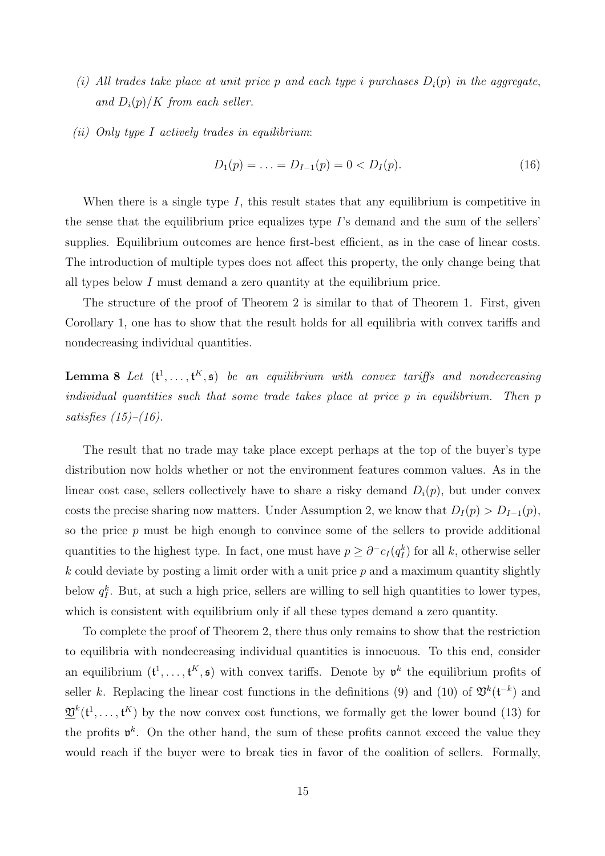- (i) All trades take place at unit price p and each type i purchases  $D_i(p)$  in the aggregate, and  $D_i(p)/K$  from each seller.
- (ii) Only type I actively trades in equilibrium:

$$
D_1(p) = \ldots = D_{I-1}(p) = 0 < D_I(p). \tag{16}
$$

When there is a single type I, this result states that any equilibrium is competitive in the sense that the equilibrium price equalizes type I's demand and the sum of the sellers' supplies. Equilibrium outcomes are hence first-best efficient, as in the case of linear costs. The introduction of multiple types does not affect this property, the only change being that all types below I must demand a zero quantity at the equilibrium price.

The structure of the proof of Theorem 2 is similar to that of Theorem 1. First, given Corollary 1, one has to show that the result holds for all equilibria with convex tariffs and nondecreasing individual quantities.

**Lemma 8** Let  $(\mathbf{t}^1, \ldots, \mathbf{t}^K, \mathfrak{s})$  be an equilibrium with convex tariffs and nondecreasing individual quantities such that some trade takes place at price p in equilibrium. Then p satisfies  $(15)$ – $(16)$ .

The result that no trade may take place except perhaps at the top of the buyer's type distribution now holds whether or not the environment features common values. As in the linear cost case, sellers collectively have to share a risky demand  $D_i(p)$ , but under convex costs the precise sharing now matters. Under Assumption 2, we know that  $D_I(p) > D_{I-1}(p)$ , so the price p must be high enough to convince some of the sellers to provide additional quantities to the highest type. In fact, one must have  $p \geq \partial^- c_I(q_I^k)$  for all k, otherwise seller  $k$  could deviate by posting a limit order with a unit price  $p$  and a maximum quantity slightly below  $q_I^k$ . But, at such a high price, sellers are willing to sell high quantities to lower types, which is consistent with equilibrium only if all these types demand a zero quantity.

To complete the proof of Theorem 2, there thus only remains to show that the restriction to equilibria with nondecreasing individual quantities is innocuous. To this end, consider an equilibrium  $(t^1, \ldots, t^K, \mathfrak{s})$  with convex tariffs. Denote by  $\mathfrak{v}^k$  the equilibrium profits of seller k. Replacing the linear cost functions in the definitions (9) and (10) of  $\mathfrak{V}^k(\mathfrak{t}^{-k})$  and  $\mathfrak{V}^k(\mathfrak{t}^1,\ldots,\mathfrak{t}^K)$  by the now convex cost functions, we formally get the lower bound (13) for the profits  $\mathfrak{v}^k$ . On the other hand, the sum of these profits cannot exceed the value they would reach if the buyer were to break ties in favor of the coalition of sellers. Formally,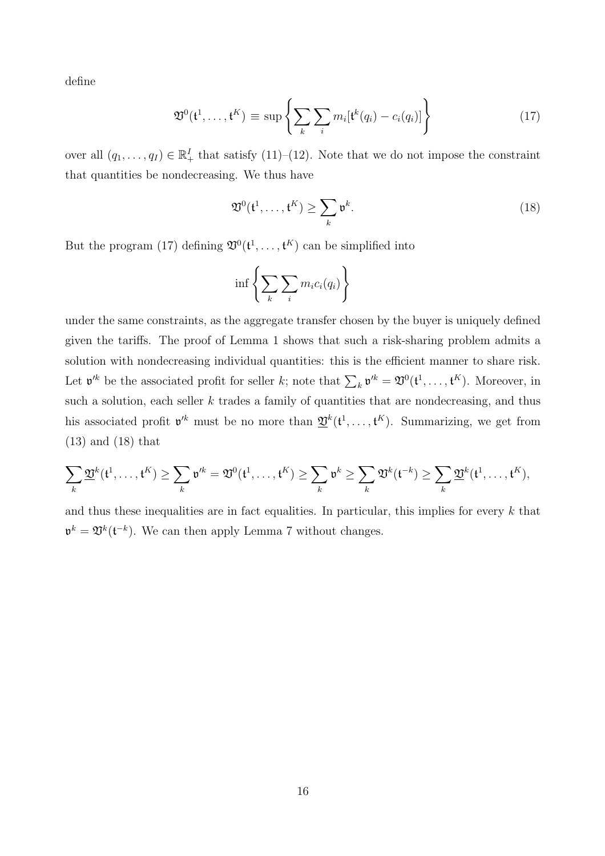define

$$
\mathfrak{V}^0(\mathfrak{t}^1,\ldots,\mathfrak{t}^K) \equiv \sup \left\{ \sum_k \sum_i m_i [\mathfrak{t}^k(q_i) - c_i(q_i)] \right\} \tag{17}
$$

over all  $(q_1, \ldots, q_l) \in \mathbb{R}^I_+$  that satisfy  $(11)$ – $(12)$ . Note that we do not impose the constraint that quantities be nondecreasing. We thus have

$$
\mathfrak{V}^0(\mathfrak{t}^1,\ldots,\mathfrak{t}^K) \ge \sum_k \mathfrak{v}^k.
$$
 (18)

But the program (17) defining  $\mathfrak{V}^0(\mathfrak{t}^1,\ldots,\mathfrak{t}^K)$  can be simplified into

$$
\inf \left\{ \sum_{k} \sum_{i} m_i c_i(q_i) \right\}
$$

under the same constraints, as the aggregate transfer chosen by the buyer is uniquely defined given the tariffs. The proof of Lemma 1 shows that such a risk-sharing problem admits a solution with nondecreasing individual quantities: this is the efficient manner to share risk. Let  $\mathfrak{v}'^k$  be the associated profit for seller k; note that  $\sum_k \mathfrak{v}'^k = \mathfrak{V}^0(\mathfrak{t}^1, \ldots, \mathfrak{t}^K)$ . Moreover, in such a solution, each seller  $k$  trades a family of quantities that are nondecreasing, and thus his associated profit  $\mathfrak{v}'^k$  must be no more than  $\underline{\mathfrak{V}}^k(\mathfrak{t}^1,\ldots,\mathfrak{t}^K)$ . Summarizing, we get from (13) and (18) that

$$
\sum_k \underline{\mathfrak{V}}^k(\mathfrak{t}^1, \dots, \mathfrak{t}^K) \geq \sum_k \mathfrak{v}'^k = \mathfrak{V}^0(\mathfrak{t}^1, \dots, \mathfrak{t}^K) \geq \sum_k \mathfrak{v}^k \geq \sum_k \mathfrak{V}^k(\mathfrak{t}^{-k}) \geq \sum_k \underline{\mathfrak{V}}^k(\mathfrak{t}^1, \dots, \mathfrak{t}^K),
$$

and thus these inequalities are in fact equalities. In particular, this implies for every  $k$  that  $\mathfrak{v}^k = \mathfrak{V}^k(\mathfrak{t}^{-k})$ . We can then apply Lemma 7 without changes.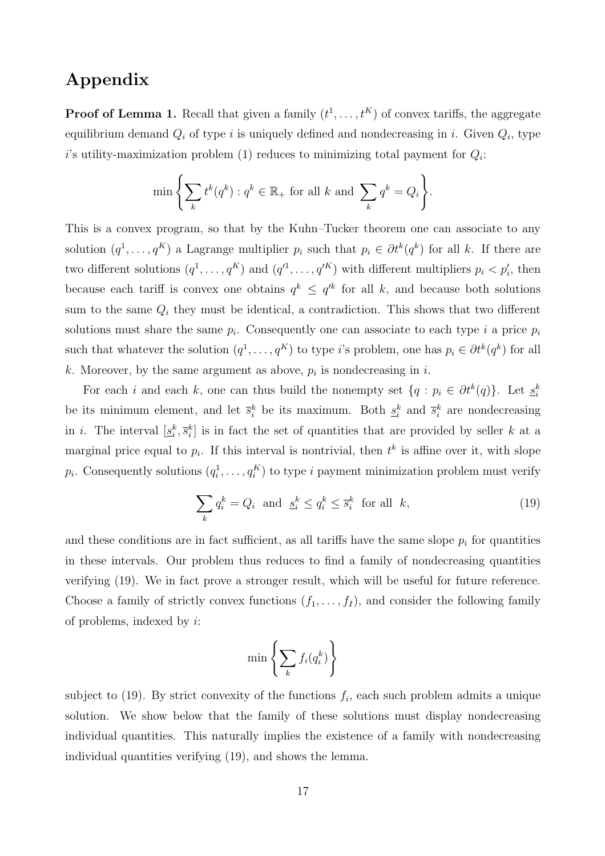## Appendix

**Proof of Lemma 1.** Recall that given a family  $(t^1, \ldots, t^K)$  of convex tariffs, the aggregate equilibrium demand  $Q_i$  of type i is uniquely defined and nondecreasing in i. Given  $Q_i$ , type i's utility-maximization problem (1) reduces to minimizing total payment for  $Q_i$ :

$$
\min \left\{ \sum_{k} t^{k}(q^{k}) : q^{k} \in \mathbb{R}_{+} \text{ for all } k \text{ and } \sum_{k} q^{k} = Q_{i} \right\}.
$$

This is a convex program, so that by the Kuhn–Tucker theorem one can associate to any solution  $(q^1, \ldots, q^K)$  a Lagrange multiplier  $p_i$  such that  $p_i \in \partial t^k(q^k)$  for all k. If there are two different solutions  $(q^1, \ldots, q^K)$  and  $(q'^1, \ldots, q'^K)$  with different multipliers  $p_i < p'_i$ , then because each tariff is convex one obtains  $q^k \leq q^{k}$  for all k, and because both solutions sum to the same  $Q_i$  they must be identical, a contradiction. This shows that two different solutions must share the same  $p_i$ . Consequently one can associate to each type i a price  $p_i$ such that whatever the solution  $(q^1, \ldots, q^K)$  to type *i*'s problem, one has  $p_i \in \partial t^k(q^k)$  for all k. Moreover, by the same argument as above,  $p_i$  is nondecreasing in i.

For each i and each k, one can thus build the nonempty set  $\{q : p_i \in \partial t^k(q)\}\$ . Let  $\underline{s}_i^k$ be its minimum element, and let  $\bar{s}_i^k$  be its maximum. Both  $\underline{s}_i^k$  and  $\bar{s}_i^k$  are nondecreasing in i. The interval  $[\underline{s}_i^k, \overline{s}_i^k]$  is in fact the set of quantities that are provided by seller k at a marginal price equal to  $p_i$ . If this interval is nontrivial, then  $t^k$  is affine over it, with slope  $p_i$ . Consequently solutions  $(q_i^1, \ldots, q_i^K)$  to type i payment minimization problem must verify

$$
\sum_{k} q_i^k = Q_i \text{ and } \underline{s}_i^k \le q_i^k \le \overline{s}_i^k \text{ for all } k,
$$
\n(19)

and these conditions are in fact sufficient, as all tariffs have the same slope  $p_i$  for quantities in these intervals. Our problem thus reduces to find a family of nondecreasing quantities verifying (19). We in fact prove a stronger result, which will be useful for future reference. Choose a family of strictly convex functions  $(f_1, \ldots, f_l)$ , and consider the following family of problems, indexed by i:

$$
\min\left\{\sum_{k} f_i(q_i^k)\right\}
$$

subject to  $(19)$ . By strict convexity of the functions  $f_i$ , each such problem admits a unique solution. We show below that the family of these solutions must display nondecreasing individual quantities. This naturally implies the existence of a family with nondecreasing individual quantities verifying (19), and shows the lemma.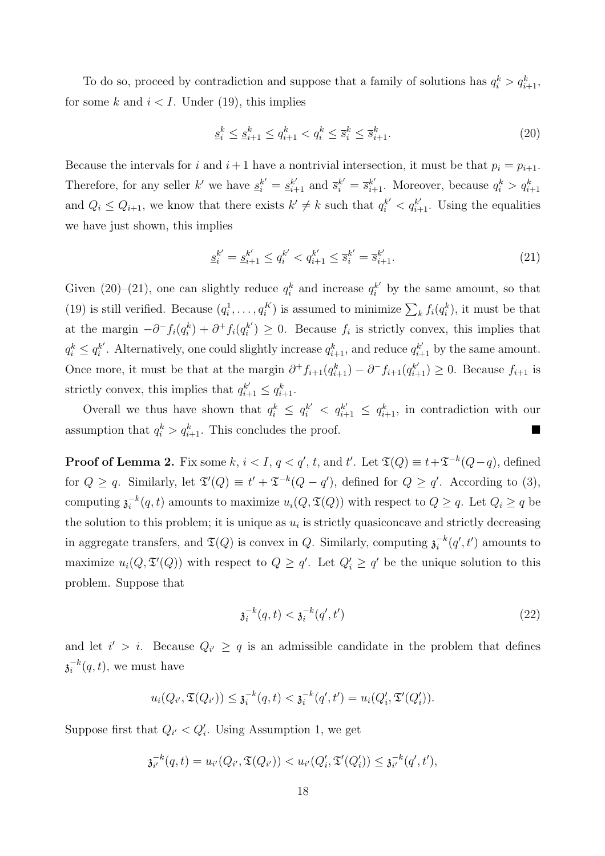To do so, proceed by contradiction and suppose that a family of solutions has  $q_i^k > q_{i+1}^k$ , for some k and  $i < I$ . Under (19), this implies

$$
\underline{s}_i^k \le \underline{s}_{i+1}^k \le q_{i+1}^k < q_i^k \le \overline{s}_i^k \le \overline{s}_{i+1}^k. \tag{20}
$$

Because the intervals for i and  $i+1$  have a nontrivial intersection, it must be that  $p_i = p_{i+1}$ . Therefore, for any seller k' we have  $\underline{s}_i^{k'} = \underline{s}_{i+1}^{k'}$  and  $\overline{s}_i^{k'} = \overline{s}_{i+1}^{k'}$ . Moreover, because  $q_i^k > q_{i+1}^k$ and  $Q_i \leq Q_{i+1}$ , we know that there exists  $k' \neq k$  such that  $q_i^{k'} < q_{i+1}^{k'}$ . Using the equalities we have just shown, this implies

$$
\underline{s}_{i}^{k'} = \underline{s}_{i+1}^{k'} \le q_{i}^{k'} < q_{i+1}^{k'} \le \overline{s}_{i}^{k'} = \overline{s}_{i+1}^{k'}.\tag{21}
$$

Given (20)–(21), one can slightly reduce  $q_i^k$  and increase  $q_i^{k'}$  by the same amount, so that (19) is still verified. Because  $(q_i^1, \ldots, q_i^K)$  is assumed to minimize  $\sum_k f_i(q_i^k)$ , it must be that at the margin  $-\partial^- f_i(q_i^k) + \partial^+ f_i(q_i^{k'}$  $i^{(k)} \geq 0$ . Because  $f_i$  is strictly convex, this implies that  $q_i^k \leq q_i^{k'}$  $i'$ . Alternatively, one could slightly increase  $q_{i+1}^k$ , and reduce  $q_{i+1}^{k'}$  by the same amount. Once more, it must be that at the margin  $\partial^+ f_{i+1}(q_{i+1}^k) - \partial^- f_{i+1}(q_{i+1}^{k'}) \geq 0$ . Because  $f_{i+1}$  is strictly convex, this implies that  $q_{i+1}^{k'} \leq q_{i+1}^k$ .

Overall we thus have shown that  $q_i^k \leq q_i^{k'} < q_{i+1}^{k'} \leq q_{i+1}^{k}$ , in contradiction with our assumption that  $q_i^k > q_{i+1}^k$ . This concludes the proof.

**Proof of Lemma 2.** Fix some k,  $i < I, q < q'$ , t, and t'. Let  $\mathfrak{T}(Q) \equiv t + \mathfrak{T}^{-k}(Q-q)$ , defined for  $Q \geq q$ . Similarly, let  $\mathfrak{T}'(Q) \equiv t' + \mathfrak{T}^{-k}(Q - q')$ , defined for  $Q \geq q'$ . According to (3), computing  $\mathfrak{z}_i^{-k}$  $i^{-(k)}(q, t)$  amounts to maximize  $u_i(Q, \mathfrak{T}(Q))$  with respect to  $Q \geq q$ . Let  $Q_i \geq q$  be the solution to this problem; it is unique as  $u_i$  is strictly quasiconcave and strictly decreasing in aggregate transfers, and  $\mathfrak{T}(Q)$  is convex in Q. Similarly, computing  $\mathfrak{z}_i^{-k}$  $i<sub>i</sub><sup>-k</sup>(q', t')$  amounts to maximize  $u_i(Q, \mathfrak{T}'(Q))$  with respect to  $Q \geq q'$ . Let  $Q'_i \geq q'$  be the unique solution to this problem. Suppose that

$$
\mathfrak{z}_i^{-k}(q,t) < \mathfrak{z}_i^{-k}(q',t') \tag{22}
$$

and let  $i' > i$ . Because  $Q_{i'} \geq q$  is an admissible candidate in the problem that defines  $\overline{\mathfrak{z}_{i}}^{-k}$  $i^{k}(q,t)$ , we must have

$$
u_i(Q_{i'}, \mathfrak{T}(Q_{i'})) \leq \mathfrak{z}_i^{-k}(q, t) < \mathfrak{z}_i^{-k}(q', t') = u_i(Q_i', \mathfrak{T}'(Q_i')).
$$

Suppose first that  $Q_{i'} < Q'_{i}$ . Using Assumption 1, we get

$$
\mathfrak{z}_{i'}^{-k}(q,t) = u_{i'}(Q_{i'}, \mathfrak{T}(Q_{i'})) < u_{i'}(Q_i', \mathfrak{T}'(Q_i')) \leq \mathfrak{z}_{i'}^{-k}(q',t'),
$$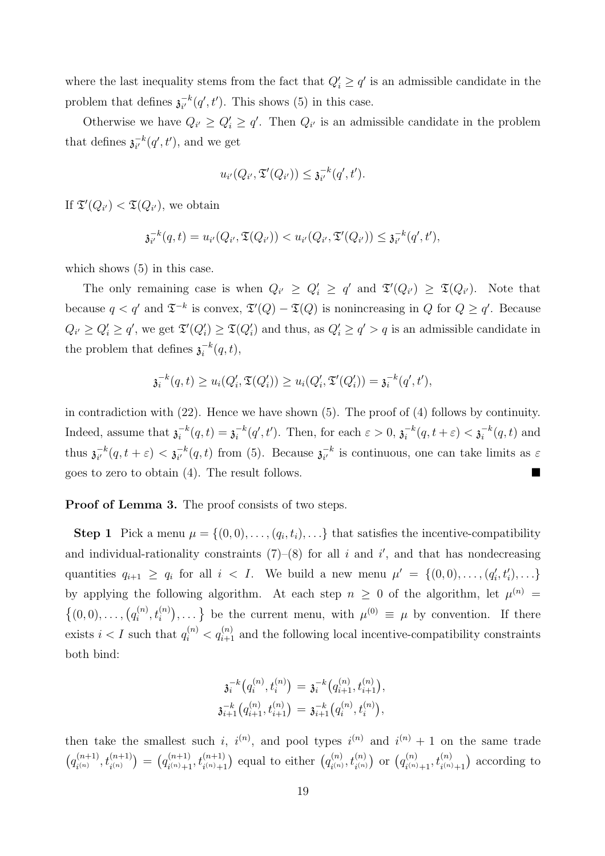where the last inequality stems from the fact that  $Q_i' \ge q'$  is an admissible candidate in the problem that defines  $\mathfrak{z}_{i'}^{-k}$  $\bar{i}^{k}(q', t')$ . This shows (5) in this case.

Otherwise we have  $Q_{i'} \geq Q'_{i} \geq q'$ . Then  $Q_{i'}$  is an admissible candidate in the problem that defines  $\mathfrak{z}_{i'}^{-k}$  $\overline{u}^{k}_{i'}(q',t')$ , and we get

$$
u_{i'}(Q_{i'}, \mathfrak{T}'(Q_{i'})) \leq \mathfrak{z}_{i'}^{-k}(q', t').
$$

If  $\mathfrak{T}'(Q_{i'}) < \mathfrak{T}(Q_{i'})$ , we obtain

$$
\mathfrak{z}_{i'}^{-k}(q,t) = u_{i'}(Q_{i'}, \mathfrak{T}(Q_{i'})) < u_{i'}(Q_{i'}, \mathfrak{T}'(Q_{i'})) \leq \mathfrak{z}_{i'}^{-k}(q',t'),
$$

which shows  $(5)$  in this case.

The only remaining case is when  $Q_{i'} \geq Q'_{i} \geq q'$  and  $\mathfrak{T}'(Q_{i'}) \geq \mathfrak{T}(Q_{i'})$ . Note that because  $q < q'$  and  $\mathfrak{T}^{-k}$  is convex,  $\mathfrak{T}'(Q) - \mathfrak{T}(Q)$  is nonincreasing in Q for  $Q \geq q'$ . Because  $Q_{i'} \geq Q'_{i} \geq q'$ , we get  $\mathfrak{T}'(Q'_{i}) \geq \mathfrak{T}(Q'_{i})$  and thus, as  $Q'_{i} \geq q' > q$  is an admissible candidate in the problem that defines  $\mathfrak{z}_i^{-k}$  $i^{-k}(q,t),$ 

$$
\mathfrak{z}_i^{-k}(q,t) \ge u_i(Q_i', \mathfrak{T}(Q_i')) \ge u_i(Q_i', \mathfrak{T}'(Q_i')) = \mathfrak{z}_i^{-k}(q', t'),
$$

in contradiction with (22). Hence we have shown (5). The proof of (4) follows by continuity. Indeed, assume that  $\mathfrak{z}_i^{-k}$  $i^{-k}(q, t) = \mathfrak{z}_i^{-k}$  $i<sup>k</sup>(q', t')$ . Then, for each  $\varepsilon > 0$ ,  $\mathfrak{z}^{-k}$  $\overline{a}^{-k}(q, t + \varepsilon) < \overline{\mathfrak{z}_{i}}^{-k}$  $i^{k}(q,t)$  and thus  $\mathfrak{z}_{i'}^{-k}$  $\frac{-k}{i'}(q,t+\varepsilon) < \mathfrak{z}_{i'}^{-k}$  $\bar{i}^{k}_{i'}(q,t)$  from (5). Because  $\bar{\mathfrak{z}}_{i'}^{-k}$  $\overline{e}^{k}$  is continuous, one can take limits as  $\varepsilon$ goes to zero to obtain  $(4)$ . The result follows.

Proof of Lemma 3. The proof consists of two steps.

**Step 1** Pick a menu  $\mu = \{(0,0), \ldots, (q_i, t_i), \ldots\}$  that satisfies the incentive-compatibility and individual-rationality constraints  $(7)-(8)$  for all i and i', and that has nondecreasing quantities  $q_{i+1} \geq q_i$  for all  $i < I$ . We build a new menu  $\mu' = \{(0,0), \ldots, (q'_i, t'_i), \ldots\}$ by applying the following algorithm. At each step  $n \geq 0$  of the algorithm, let  $\mu^{(n)} =$  $\{(0,0), \ldots, (q_i^{(n)})\}$  $\binom{n}{i},t_i^{(n)}$  $\begin{pmatrix} 0 & 0 \\ 0 & 1 \end{pmatrix}$  is the current menu, with  $\mu^{(0)} \equiv \mu$  by convention. If there exists  $i < I$  such that  $q_i^{(n)} < q_{i+1}^{(n)}$  and the following local incentive-compatibility constraints both bind:

$$
\mathfrak{z}_i^{-k}\bigl(q_i^{(n)},t_i^{(n)}\bigr)=\mathfrak{z}_i^{-k}\bigl(q_{i+1}^{(n)},t_{i+1}^{(n)}\bigr),\\ \mathfrak{z}_{i+1}^{-k}\bigl(q_{i+1}^{(n)},t_{i+1}^{(n)}\bigr)=\mathfrak{z}_{i+1}^{-k}\bigl(q_i^{(n)},t_i^{(n)}\bigr),
$$

then take the smallest such i,  $i^{(n)}$ , and pool types  $i^{(n)}$  and  $i^{(n)} + 1$  on the same trade ¡  $q_{\varepsilon(n)}^{(n+1)}$  $\binom{n+1}{i^{(n)}}, t_{i^{(n)}}^{(n+1)}$ ¢ = ¡  $q_{\varepsilon(n)+1}^{(n+1)}$  $\binom{n+1}{i^{(n)}+1}, t_{i^{(n)}+1}^{(n+1)}$ equal to either  $(q_{i(n)}^{(n)})$  $\bar{t}_{i^{(n)}}^{(n)}, \bar{t}_{i^{(n)}}^{(n)}$ ) or  $\left(q_{\cdot(n)}^{(n)}\right)$  $\binom{n}{i^{(n)}+1}, t_{i^{(n)}+1}^{(n)}$ ¢ according to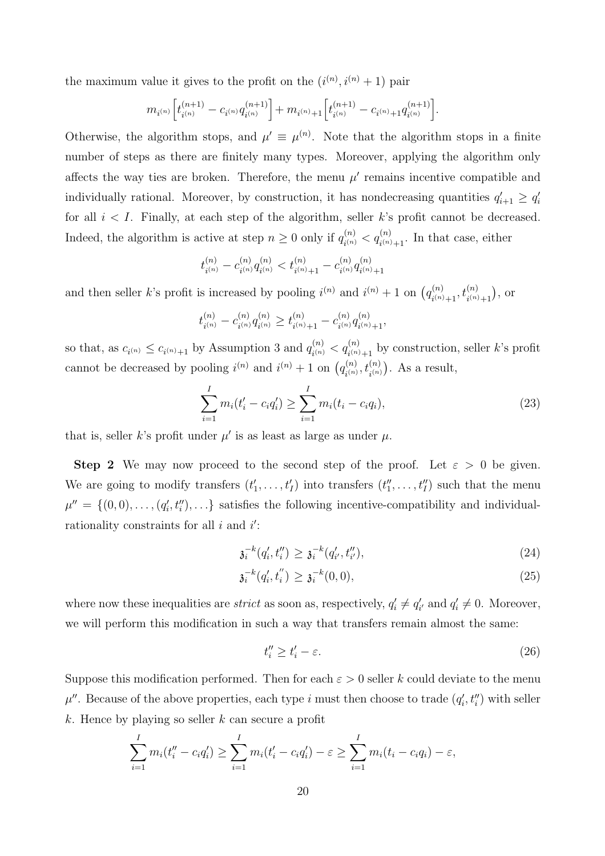the maximum value it gives to the profit on the  $(i^{(n)}, i^{(n)} + 1)$  pair

$$
m_{i^{(n)}}\Big[t_{i^{(n)}}^{(n+1)}-c_{i^{(n)}}q_{i^{(n)}}^{(n+1)}\Big]+m_{i^{(n)}+1}\Big[t_{i^{(n)}}^{(n+1)}-c_{i^{(n)}+1}q_{i^{(n)}}^{(n+1)}\Big].
$$

Otherwise, the algorithm stops, and  $\mu' \equiv \mu^{(n)}$ . Note that the algorithm stops in a finite number of steps as there are finitely many types. Moreover, applying the algorithm only affects the way ties are broken. Therefore, the menu  $\mu'$  remains incentive compatible and individually rational. Moreover, by construction, it has nondecreasing quantities  $q'_{i+1} \geq q'_{i}$ for all  $i < I$ . Finally, at each step of the algorithm, seller k's profit cannot be decreased. Indeed, the algorithm is active at step  $n \geq 0$  only if  $q_{n}^{(n)}$  $\binom{n}{i^{(n)}} < q_{i^{(n)}+1}^{(n)}$ . In that case, either

$$
t_{i^{(n)}}^{(n)} - c_{i^{(n)}}^{(n)}q_{i^{(n)}}^{(n)} < t_{i^{(n)}+1}^{(n)} - c_{i^{(n)}}^{(n)}q_{i^{(n)}+1}^{(n)}
$$

and then seller k's profit is increased by pooling  $i^{(n)}$  and  $i^{(n)} + 1$  on  $(q_{i,n}^{(n)})$  $\binom{n}{i^{(n)}+1}, t_{i^{(n)}+1}^{(n)}$ ¢ , or

$$
t_{i^{(n)}}^{(n)} - c_{i^{(n)}}^{(n)} q_{i^{(n)}}^{(n)} \ge t_{i^{(n)}+1}^{(n)} - c_{i^{(n)}}^{(n)} q_{i^{(n)}+1}^{(n)},
$$

so that, as  $c_{i^{(n)}} \leq c_{i^{(n)}+1}$  by Assumption 3 and  $q_{i^{(n)}}^{(n)}$  $\lambda_{i^{(n)}}^{(n)} < q_{i^{(n)}+1}^{(n)}$  by construction, seller *k*'s profit cannot be decreased by pooling  $i^{(n)}$  and  $i^{(n)} + 1$  on  $(q_{i(n)}^{(n)})$  $\binom{n}{i^{(n)}},t_{i^{(n)}}^{(n)}$  $\frac{1}{\sqrt{2}}$ . As a result,

$$
\sum_{i=1}^{I} m_i(t'_i - c_i q'_i) \ge \sum_{i=1}^{I} m_i(t_i - c_i q_i),
$$
\n(23)

that is, seller k's profit under  $\mu'$  is as least as large as under  $\mu$ .

**Step 2** We may now proceed to the second step of the proof. Let  $\varepsilon > 0$  be given. We are going to modify transfers  $(t'_1, \ldots, t'_I)$  into transfers  $(t''_1, \ldots, t''_I)$  such that the menu  $\mu'' = \{(0,0), \ldots, (q'_i, t''_i), \ldots\}$  satisfies the following incentive-compatibility and individualrationality constraints for all  $i$  and  $i'$ :

$$
\mathfrak{z}_i^{-k}(q'_i, t''_i) \ge \mathfrak{z}_i^{-k}(q'_{i'}, t''_{i'}),\tag{24}
$$

$$
\mathfrak{z}_i^{-k}(q'_i, t''_i) \ge \mathfrak{z}_i^{-k}(0,0),\tag{25}
$$

where now these inequalities are *strict* as soon as, respectively,  $q'_i \neq q'_{i'}$  and  $q'_i \neq 0$ . Moreover, we will perform this modification in such a way that transfers remain almost the same:

$$
t_i'' \ge t_i' - \varepsilon. \tag{26}
$$

Suppose this modification performed. Then for each  $\varepsilon > 0$  seller k could deviate to the menu  $\mu''$ . Because of the above properties, each type i must then choose to trade  $(q'_i, t''_i)$  with seller  $k$ . Hence by playing so seller  $k$  can secure a profit

$$
\sum_{i=1}^{I} m_i(t''_i - c_i q'_i) \ge \sum_{i=1}^{I} m_i(t'_i - c_i q'_i) - \varepsilon \ge \sum_{i=1}^{I} m_i(t_i - c_i q_i) - \varepsilon,
$$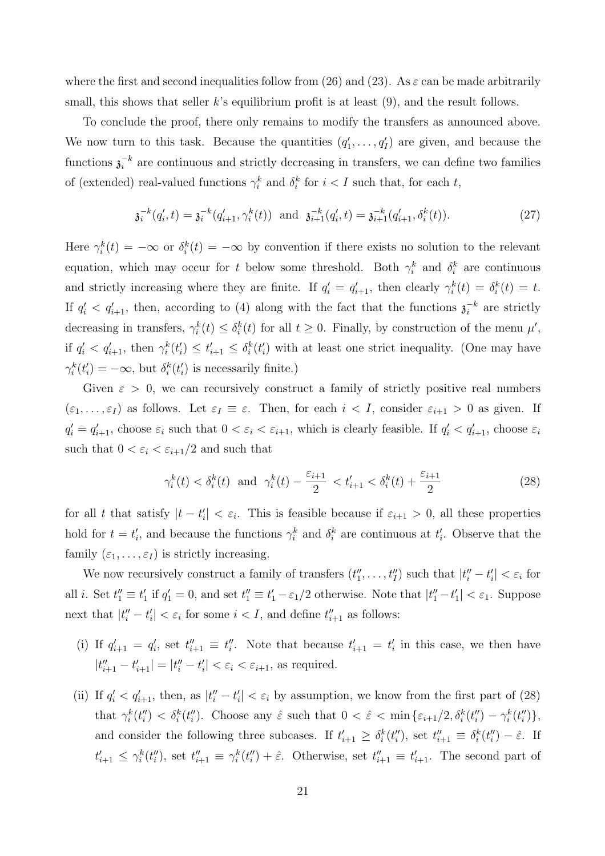where the first and second inequalities follow from (26) and (23). As  $\varepsilon$  can be made arbitrarily small, this shows that seller  $k$ 's equilibrium profit is at least  $(9)$ , and the result follows.

To conclude the proof, there only remains to modify the transfers as announced above. We now turn to this task. Because the quantities  $(q'_1, \ldots, q'_I)$  are given, and because the functions  $\mathfrak{z}_i^{-k}$  $i^*$  are continuous and strictly decreasing in transfers, we can define two families of (extended) real-valued functions  $\gamma_i^k$  and  $\delta_i^k$  for  $i < I$  such that, for each t,

$$
\mathfrak{z}_i^{-k}(q_i',t) = \mathfrak{z}_i^{-k}(q_{i+1}',\gamma_i^k(t)) \text{ and } \mathfrak{z}_{i+1}^{-k}(q_i',t) = \mathfrak{z}_{i+1}^{-k}(q_{i+1}',\delta_i^k(t)).\tag{27}
$$

Here  $\gamma_i^k(t) = -\infty$  or  $\delta_i^k(t) = -\infty$  by convention if there exists no solution to the relevant equation, which may occur for t below some threshold. Both  $\gamma_i^k$  and  $\delta_i^k$  are continuous and strictly increasing where they are finite. If  $q'_i = q'_{i+1}$ , then clearly  $\gamma_i^k(t) = \delta_i^k(t) = t$ . If  $q'_i < q'_{i+1}$ , then, according to (4) along with the fact that the functions  $\mathfrak{z}_i^{-k}$  $i^{\{-k\}}$  are strictly decreasing in transfers,  $\gamma_i^k(t) \leq \delta_i^k(t)$  for all  $t \geq 0$ . Finally, by construction of the menu  $\mu'$ , if  $q'_i < q'_{i+1}$ , then  $\gamma_i^k(t'_i) \leq t'_{i+1} \leq \delta_i^k(t'_i)$  with at least one strict inequality. (One may have  $\gamma_i^k(t'_i) = -\infty$ , but  $\delta_i^k(t'_i)$  is necessarily finite.)

Given  $\varepsilon > 0$ , we can recursively construct a family of strictly positive real numbers  $(\varepsilon_1,\ldots,\varepsilon_I)$  as follows. Let  $\varepsilon_I \equiv \varepsilon$ . Then, for each  $i < I$ , consider  $\varepsilon_{i+1} > 0$  as given. If  $q'_i = q'_{i+1}$ , choose  $\varepsilon_i$  such that  $0 < \varepsilon_i < \varepsilon_{i+1}$ , which is clearly feasible. If  $q'_i < q'_{i+1}$ , choose  $\varepsilon_i$ such that  $0 < \varepsilon_i < \varepsilon_{i+1}/2$  and such that

$$
\gamma_i^k(t) < \delta_i^k(t) \text{ and } \gamma_i^k(t) - \frac{\varepsilon_{i+1}}{2} < t'_{i+1} < \delta_i^k(t) + \frac{\varepsilon_{i+1}}{2} \tag{28}
$$

for all t that satisfy  $|t - t'_i| < \varepsilon_i$ . This is feasible because if  $\varepsilon_{i+1} > 0$ , all these properties hold for  $t = t'_i$ , and because the functions  $\gamma_i^k$  and  $\delta_i^k$  are continuous at  $t'_i$ . Observe that the family  $(\varepsilon_1, \ldots, \varepsilon_I)$  is strictly increasing.

We now recursively construct a family of transfers  $(t''_1, \ldots, t''_I)$  such that  $|t''_i - t'_i| < \varepsilon_i$  for all *i*. Set  $t''_1 \equiv t'_1$  if  $q'_1 = 0$ , and set  $t''_1 \equiv t'_1 - \varepsilon_1/2$  otherwise. Note that  $|t''_1 - t'_1| < \varepsilon_1$ . Suppose next that  $|t''_i - t'_i| < \varepsilon_i$  for some  $i < I$ , and define  $t''_{i+1}$  as follows:

- (i) If  $q'_{i+1} = q'_{i}$ , set  $t''_{i+1} \equiv t''_i$ . Note that because  $t'_{i+1} = t'_{i}$  in this case, we then have  $|t''_{i+1} - t'_{i+1}| = |t''_i - t'_i| < \varepsilon_i < \varepsilon_{i+1}$ , as required.
- (ii) If  $q'_i < q'_{i+1}$ , then, as  $|t''_i t'_i| < \varepsilon_i$  by assumption, we know from the first part of (28) that  $\gamma_i^k(t_i'') < \delta_i^k(t_i'')$ . Choose any  $\hat{\varepsilon}$  such that  $0 < \hat{\varepsilon} < \min{\{\varepsilon_{i+1}/2, \delta_i^k(t_i'') - \gamma_i^k(t_i'')\}}$ , and consider the following three subcases. If  $t'_{i+1} \geq \delta_i^k(t''_i)$ , set  $t''_{i+1} \equiv \delta_i^k(t''_i) - \hat{\varepsilon}$ . If  $t'_{i+1} \leq \gamma_i^k(t''_i)$ , set  $t''_{i+1} \equiv \gamma_i^k(t''_i) + \hat{\varepsilon}$ . Otherwise, set  $t''_{i+1} \equiv t'_{i+1}$ . The second part of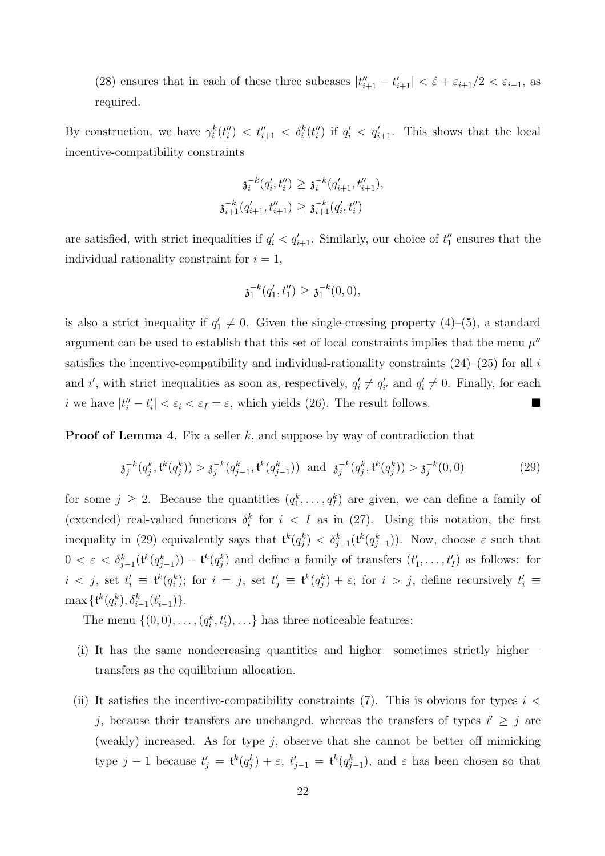(28) ensures that in each of these three subcases  $|t''_{i+1} - t'_{i+1}| < \hat{\varepsilon} + \varepsilon_{i+1}/2 < \varepsilon_{i+1}$ , as required.

By construction, we have  $\gamma_i^k(t_i'') < t_{i+1}'' < \delta_i^k(t_i'')$  if  $q_i' < q_{i+1}'$ . This shows that the local incentive-compatibility constraints

$$
\mathfrak{z}_i^{-k}(q'_i, t''_i) \geq \mathfrak{z}_i^{-k}(q'_{i+1}, t''_{i+1}),
$$
  

$$
\mathfrak{z}_{i+1}^{-k}(q'_{i+1}, t''_{i+1}) \geq \mathfrak{z}_{i+1}^{-k}(q'_i, t''_i)
$$

are satisfied, with strict inequalities if  $q'_i < q'_{i+1}$ . Similarly, our choice of  $t''_1$  ensures that the individual rationality constraint for  $i = 1$ ,

$$
\mathfrak{z}_1^{-k}(q'_1,t''_1) \geq \mathfrak{z}_1^{-k}(0,0),
$$

is also a strict inequality if  $q'_1 \neq 0$ . Given the single-crossing property (4)–(5), a standard argument can be used to establish that this set of local constraints implies that the menu  $\mu''$ satisfies the incentive-compatibility and individual-rationality constraints  $(24)$ – $(25)$  for all i and i', with strict inequalities as soon as, respectively,  $q'_i \neq q'_{i'}$  and  $q'_i \neq 0$ . Finally, for each i we have  $|t''_i - t'_i| < \varepsilon_i < \varepsilon_I = \varepsilon$ , which yields (26). The result follows.

**Proof of Lemma 4.** Fix a seller  $k$ , and suppose by way of contradiction that

$$
\mathfrak{z}_j^{-k}(q_j^k, \mathfrak{t}^k(q_j^k)) > \mathfrak{z}_j^{-k}(q_{j-1}^k, \mathfrak{t}^k(q_{j-1}^k)) \quad \text{and} \quad \mathfrak{z}_j^{-k}(q_j^k, \mathfrak{t}^k(q_j^k)) > \mathfrak{z}_j^{-k}(0, 0) \tag{29}
$$

for some  $j \geq 2$ . Because the quantities  $(q_1^k, \ldots, q_l^k)$  are given, we can define a family of (extended) real-valued functions  $\delta_i^k$  for  $i < I$  as in (27). Using this notation, the first inequality in (29) equivalently says that  $\mathbf{t}^k(q_j^k) < \delta_{j-1}^k(\mathbf{t}^k(q_{j-1}^k))$ . Now, choose  $\varepsilon$  such that  $0 < \varepsilon < \delta_{j-1}^k(t^k(q_{j-1}^k)) - t^k(q_j^k)$  and define a family of transfers  $(t'_1, \ldots, t'_I)$  as follows: for  $i < j$ , set  $t'_i \equiv \mathfrak{t}^k(q_i^k)$ ; for  $i = j$ , set  $t'_j \equiv \mathfrak{t}^k(q_j^k) + \varepsilon$ ; for  $i > j$ , define recursively  $t'_i \equiv$  $\max\{ {\mathfrak t}^k(q_i^k), \delta_{i-1}^k(t'_{i-1})\}.$ 

The menu  $\{(0,0), \ldots, (q_i^k, t_i'), \ldots\}$  has three noticeable features:

- (i) It has the same nondecreasing quantities and higher—sometimes strictly higher transfers as the equilibrium allocation.
- (ii) It satisfies the incentive-compatibility constraints (7). This is obvious for types  $i <$ j, because their transfers are unchanged, whereas the transfers of types  $i' \geq j$  are (weakly) increased. As for type  $j$ , observe that she cannot be better off mimicking type  $j-1$  because  $t'_{j} = \mathfrak{t}^{k}(q_{j}^{k}) + \varepsilon$ ,  $t'_{j-1} = \mathfrak{t}^{k}(q_{j-1}^{k})$ , and  $\varepsilon$  has been chosen so that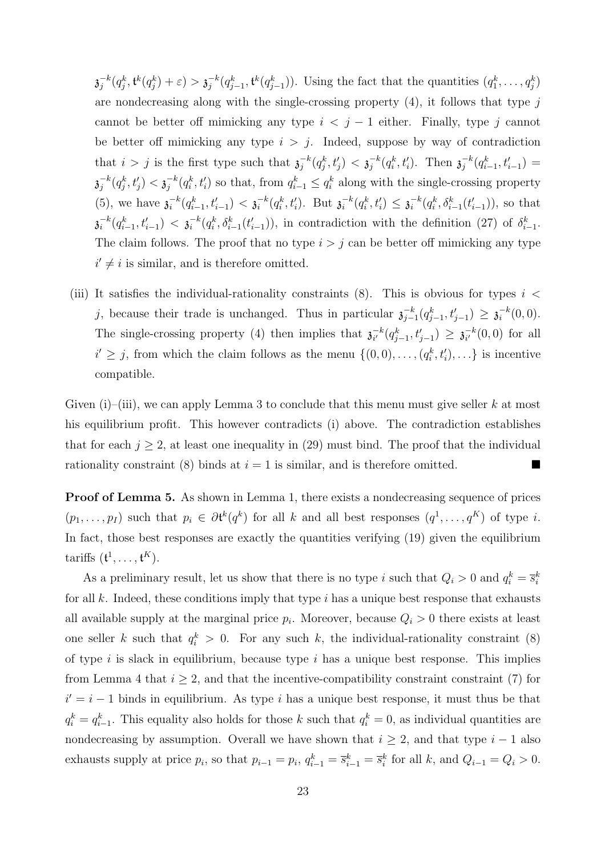$\overline{\mathfrak{z}}_i^{-k}$  $j^{-k}(q_j^k, \mathfrak{t}^k(q_j^k)+\varepsilon) > \mathfrak{z}_j^{-k}$  $j^{-k}(q_{j-1}^k, \mathfrak{t}^k(q_{j-1}^k))$ . Using the fact that the quantities  $(q_1^k, \ldots, q_j^k)$ are nondecreasing along with the single-crossing property  $(4)$ , it follows that type  $j$ cannot be better off mimicking any type  $i < j - 1$  either. Finally, type j cannot be better off mimicking any type  $i > j$ . Indeed, suppose by way of contradiction that  $i > j$  is the first type such that  $\mathfrak{z}_i^{-k}$  $\bar{g}_j^{-k}(q_j^k,t_j')<\mathfrak{z}_j^{-k}$  $j^{-k}(q_i^k, t'_i)$ . Then  $\mathfrak{z}_j^{-k}$  $j^{-k}(q_{i-1}^k, t'_{i-1}) =$  $\overline{\mathfrak{z}}_i^{-k}$  $j^{-k}(q^k_j,t'_j)<\mathfrak{z}_j^{-k}$  $j^{-k}(q_i^k, t'_i)$  so that, from  $q_{i-1}^k \leq q_i^k$  along with the single-crossing property  $(5)$ , we have  $\mathfrak{z}_i^{-k}$  $\frac{-k}{i}(q_{i-1}^k, t_{i-1}') < \mathfrak{z}_i^{-k}$  $i^{-k}(q_i^k, t'_i)$ . But  $\mathfrak{z}_i^{-k}$  $i^{-k}(q_i^k,t_i') \leq \mathfrak{z}_i^{-k}$  $i^{-k}(q_i^k, \delta_{i-1}^k(t'_{i-1})),$  so that  $\overline{\mathfrak{z}_i}^{-k}$  $\frac{-k}{i}(q_{i-1}^{k}, t_{i-1}') < \mathfrak{z}_{i}^{-k}$  $\bar{a}_i^{-k}(q_i^k, \delta_{i-1}^k(t'_{i-1})),$  in contradiction with the definition (27) of  $\delta_{i-1}^k$ . The claim follows. The proof that no type  $i > j$  can be better off mimicking any type  $i' \neq i$  is similar, and is therefore omitted.

(iii) It satisfies the individual-rationality constraints  $(8)$ . This is obvious for types  $i <$ j, because their trade is unchanged. Thus in particular  $\mathfrak{z}_{i-}^{-k}$  $\frac{-k}{j-1}(q_{j-1}^k,t_{j-1}')\,\geq\, \mathfrak{z}_i^{-k}$  $i^{-k}(0,0).$ The single-crossing property (4) then implies that  $\mathfrak{z}_{i'}^{-k}$  $\frac{-k}{i'} (q_{j-1}^k, t_{j-1}') \geq \mathfrak{z}_{i'}^{-k}$  $_{i'}^{-k}(0,0)$  for all  $i' \geq j$ , from which the claim follows as the menu  $\{(0,0), \ldots, (q_i^k, t'_i), \ldots\}$  is incentive compatible.

Given  $(i)$ –(iii), we can apply Lemma 3 to conclude that this menu must give seller k at most his equilibrium profit. This however contradicts (i) above. The contradiction establishes that for each  $j \geq 2$ , at least one inequality in (29) must bind. The proof that the individual rationality constraint (8) binds at  $i = 1$  is similar, and is therefore omitted.

Proof of Lemma 5. As shown in Lemma 1, there exists a nondecreasing sequence of prices  $(p_1,\ldots,p_I)$  such that  $p_i \in \partial \mathfrak{t}^k(q^k)$  for all k and all best responses  $(q^1,\ldots,q^K)$  of type i. In fact, those best responses are exactly the quantities verifying (19) given the equilibrium tariffs  $(\mathfrak{t}^1, \ldots, \mathfrak{t}^K)$ .

As a preliminary result, let us show that there is no type i such that  $Q_i > 0$  and  $q_i^k = \overline{s}_i^k$ for all k. Indeed, these conditions imply that type i has a unique best response that exhausts all available supply at the marginal price  $p_i$ . Moreover, because  $Q_i > 0$  there exists at least one seller k such that  $q_i^k > 0$ . For any such k, the individual-rationality constraint (8) of type  $i$  is slack in equilibrium, because type  $i$  has a unique best response. This implies from Lemma 4 that  $i \geq 2$ , and that the incentive-compatibility constraint constraint (7) for  $i' = i - 1$  binds in equilibrium. As type i has a unique best response, it must thus be that  $q_i^k = q_{i-1}^k$ . This equality also holds for those k such that  $q_i^k = 0$ , as individual quantities are nondecreasing by assumption. Overall we have shown that  $i \geq 2$ , and that type  $i - 1$  also exhausts supply at price  $p_i$ , so that  $p_{i-1} = p_i$ ,  $q_{i-1}^k = \overline{s}_{i-1}^k = \overline{s}_i^k$  for all k, and  $Q_{i-1} = Q_i > 0$ .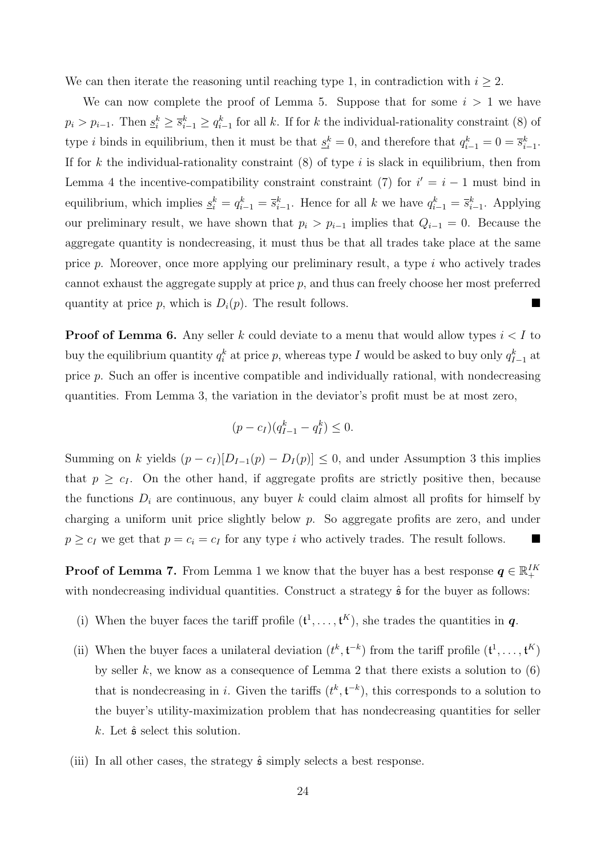We can then iterate the reasoning until reaching type 1, in contradiction with  $i \geq 2$ .

We can now complete the proof of Lemma 5. Suppose that for some  $i > 1$  we have  $p_i > p_{i-1}$ . Then  $\underline{s}_i^k \geq \overline{s}_{i-1}^k \geq q_{i-1}^k$  for all k. If for k the individual-rationality constraint (8) of type *i* binds in equilibrium, then it must be that  $\underline{s}_i^k = 0$ , and therefore that  $q_{i-1}^k = 0 = \overline{s}_{i-1}^k$ . If for k the individual-rationality constraint  $(8)$  of type i is slack in equilibrium, then from Lemma 4 the incentive-compatibility constraint constraint (7) for  $i' = i - 1$  must bind in equilibrium, which implies  $s_i^k = q_{i-1}^k = \overline{s}_{i-1}^k$ . Hence for all k we have  $q_{i-1}^k = \overline{s}_{i-1}^k$ . Applying our preliminary result, we have shown that  $p_i > p_{i-1}$  implies that  $Q_{i-1} = 0$ . Because the aggregate quantity is nondecreasing, it must thus be that all trades take place at the same price p. Moreover, once more applying our preliminary result, a type i who actively trades cannot exhaust the aggregate supply at price  $p$ , and thus can freely choose her most preferred quantity at price p, which is  $D_i(p)$ . The result follows.

**Proof of Lemma 6.** Any seller k could deviate to a menu that would allow types  $i < I$  to buy the equilibrium quantity  $q_i^k$  at price p, whereas type I would be asked to buy only  $q_{I-1}^k$  at price p. Such an offer is incentive compatible and individually rational, with nondecreasing quantities. From Lemma 3, the variation in the deviator's profit must be at most zero,

$$
(p - c_I)(q_{I-1}^k - q_I^k) \le 0.
$$

Summing on k yields  $(p - c_I)[D_{I-1}(p) - D_I(p)] \leq 0$ , and under Assumption 3 this implies that  $p \geq c_I$ . On the other hand, if aggregate profits are strictly positive then, because the functions  $D_i$  are continuous, any buyer k could claim almost all profits for himself by charging a uniform unit price slightly below  $p$ . So aggregate profits are zero, and under  $p \geq c_I$  we get that  $p = c_i = c_I$  for any type i who actively trades. The result follows.

**Proof of Lemma 7.** From Lemma 1 we know that the buyer has a best response  $q \in \mathbb{R}^{IK}_+$ with nondecreasing individual quantities. Construct a strategy  $\hat{\mathfrak{s}}$  for the buyer as follows:

- (i) When the buyer faces the tariff profile  $(\mathfrak{t}^1, \ldots, \mathfrak{t}^K)$ , she trades the quantities in  $q$ .
- (ii) When the buyer faces a unilateral deviation  $(t^k, t^{-k})$  from the tariff profile  $(t^1, \ldots, t^K)$ by seller k, we know as a consequence of Lemma 2 that there exists a solution to  $(6)$ that is nondecreasing in i. Given the tariffs  $(t^k, t^{-k})$ , this corresponds to a solution to the buyer's utility-maximization problem that has nondecreasing quantities for seller k. Let  $\hat{\mathfrak{s}}$  select this solution.
- (iii) In all other cases, the strategy  $\hat{\mathfrak{s}}$  simply selects a best response.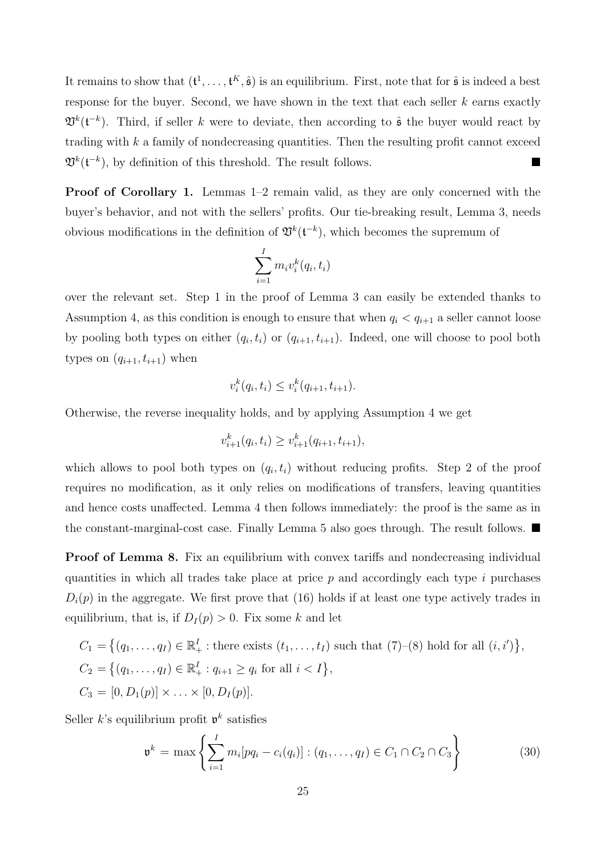It remains to show that  $(\mathfrak{t}^1, \ldots, \mathfrak{t}^K, \hat{\mathfrak{s}})$  is an equilibrium. First, note that for  $\hat{\mathfrak{s}}$  is indeed a best response for the buyer. Second, we have shown in the text that each seller  $k$  earns exactly  $\mathfrak{V}^k(\mathfrak{t}^{-k})$ . Third, if seller k were to deviate, then according to  $\hat{\mathfrak{s}}$  the buyer would react by trading with  $k$  a family of nondecreasing quantities. Then the resulting profit cannot exceed  $\mathfrak{V}^k(\mathfrak{t}^{-k})$ , by definition of this threshold. The result follows.

Proof of Corollary 1. Lemmas 1–2 remain valid, as they are only concerned with the buyer's behavior, and not with the sellers' profits. Our tie-breaking result, Lemma 3, needs obvious modifications in the definition of  $\mathfrak{V}^k(\mathfrak{t}^{-k})$ , which becomes the supremum of

$$
\sum_{i=1}^{I} m_i v_i^k(q_i, t_i)
$$

over the relevant set. Step 1 in the proof of Lemma 3 can easily be extended thanks to Assumption 4, as this condition is enough to ensure that when  $q_i < q_{i+1}$  a seller cannot loose by pooling both types on either  $(q_i, t_i)$  or  $(q_{i+1}, t_{i+1})$ . Indeed, one will choose to pool both types on  $(q_{i+1}, t_{i+1})$  when

$$
v_i^k(q_i, t_i) \le v_i^k(q_{i+1}, t_{i+1}).
$$

Otherwise, the reverse inequality holds, and by applying Assumption 4 we get

$$
v_{i+1}^k(q_i, t_i) \ge v_{i+1}^k(q_{i+1}, t_{i+1}),
$$

which allows to pool both types on  $(q_i, t_i)$  without reducing profits. Step 2 of the proof requires no modification, as it only relies on modifications of transfers, leaving quantities and hence costs unaffected. Lemma 4 then follows immediately: the proof is the same as in the constant-marginal-cost case. Finally Lemma 5 also goes through. The result follows.  $\blacksquare$ 

**Proof of Lemma 8.** Fix an equilibrium with convex tariffs and nondecreasing individual quantities in which all trades take place at price  $p$  and accordingly each type  $i$  purchases  $D_i(p)$  in the aggregate. We first prove that (16) holds if at least one type actively trades in equilibrium, that is, if  $D_I(p) > 0$ . Fix some k and let

$$
C_1 = \{(q_1, ..., q_I) \in \mathbb{R}_+^I : \text{there exists } (t_1, ..., t_I) \text{ such that } (7)-(8) \text{ hold for all } (i, i')\},
$$
  
\n
$$
C_2 = \{(q_1, ..., q_I) \in \mathbb{R}_+^I : q_{i+1} \ge q_i \text{ for all } i < I\},
$$
  
\n
$$
C_3 = [0, D_1(p)] \times ... \times [0, D_I(p)].
$$

Seller k's equilibrium profit  $\mathfrak{v}^k$  satisfies

$$
\mathfrak{v}^k = \max \left\{ \sum_{i=1}^I m_i [pq_i - c_i(q_i)] : (q_1, \dots, q_I) \in C_1 \cap C_2 \cap C_3 \right\}
$$
(30)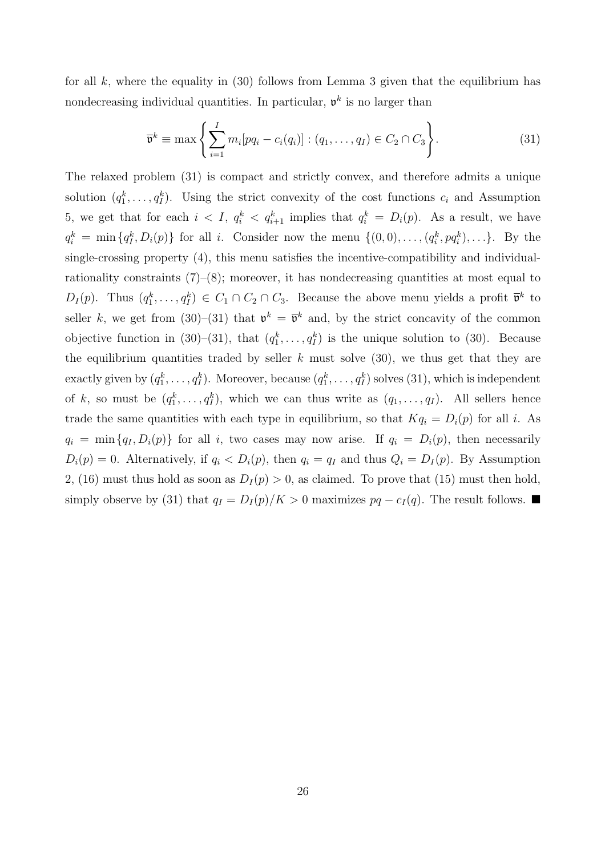for all  $k$ , where the equality in (30) follows from Lemma 3 given that the equilibrium has nondecreasing individual quantities. In particular,  $\mathfrak{v}^k$  is no larger than

$$
\overline{\mathbf{v}}^k \equiv \max \left\{ \sum_{i=1}^I m_i [pq_i - c_i(q_i)] : (q_1, \dots, q_I) \in C_2 \cap C_3 \right\}.
$$
 (31)

The relaxed problem (31) is compact and strictly convex, and therefore admits a unique solution  $(q_1^k, \ldots, q_l^k)$ . Using the strict convexity of the cost functions  $c_i$  and Assumption 5, we get that for each  $i < I$ ,  $q_i^k < q_{i+1}^k$  implies that  $q_i^k = D_i(p)$ . As a result, we have  $q_i^k = \min\{q_i^k, D_i(p)\}\$  for all i. Consider now the menu  $\{(0,0), \ldots, (q_i^k, pq_i^k), \ldots\}.$  By the single-crossing property (4), this menu satisfies the incentive-compatibility and individualrationality constraints  $(7)-(8)$ ; moreover, it has nondecreasing quantities at most equal to  $D_I(p)$ . Thus  $(q_1^k, \ldots, q_I^k) \in C_1 \cap C_2 \cap C_3$ . Because the above menu yields a profit  $\bar{\mathfrak{v}}^k$  to seller k, we get from (30)–(31) that  $\mathfrak{v}^k = \overline{\mathfrak{v}}^k$  and, by the strict concavity of the common objective function in (30)–(31), that  $(q_1^k, \ldots, q_l^k)$  is the unique solution to (30). Because the equilibrium quantities traded by seller  $k$  must solve (30), we thus get that they are exactly given by  $(q_1^k, \ldots, q_I^k)$ . Moreover, because  $(q_1^k, \ldots, q_I^k)$  solves (31), which is independent of k, so must be  $(q_1^k, \ldots, q_l^k)$ , which we can thus write as  $(q_1, \ldots, q_l)$ . All sellers hence trade the same quantities with each type in equilibrium, so that  $Kq_i = D_i(p)$  for all i. As  $q_i = \min\{q_I, D_i(p)\}\$  for all i, two cases may now arise. If  $q_i = D_i(p)$ , then necessarily  $D_i(p) = 0$ . Alternatively, if  $q_i < D_i(p)$ , then  $q_i = q_I$  and thus  $Q_i = D_I(p)$ . By Assumption 2, (16) must thus hold as soon as  $D_I(p) > 0$ , as claimed. To prove that (15) must then hold, simply observe by (31) that  $q_I = D_I(p)/K > 0$  maximizes  $pq - c_I(q)$ . The result follows. ■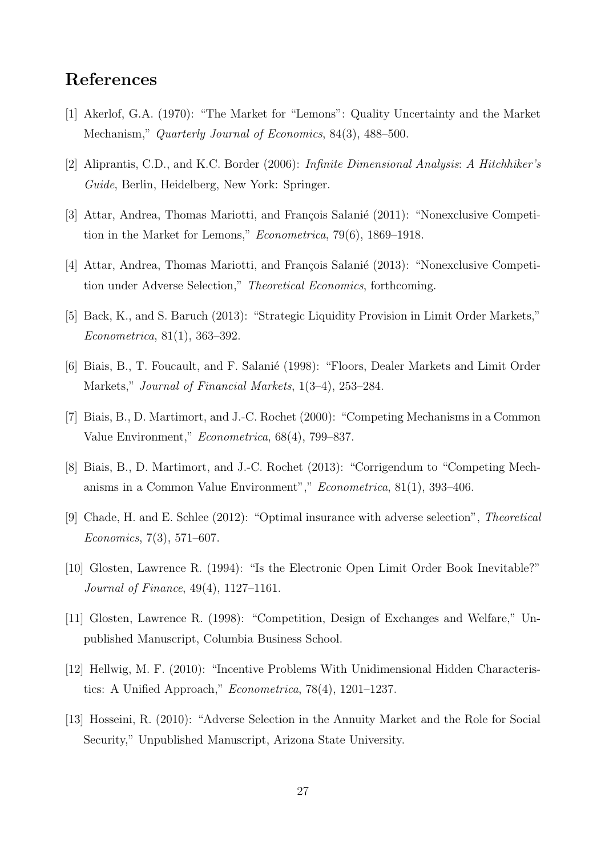### References

- [1] Akerlof, G.A. (1970): "The Market for "Lemons": Quality Uncertainty and the Market Mechanism," Quarterly Journal of Economics, 84(3), 488–500.
- [2] Aliprantis, C.D., and K.C. Border (2006): Infinite Dimensional Analysis: A Hitchhiker's Guide, Berlin, Heidelberg, New York: Springer.
- [3] Attar, Andrea, Thomas Mariotti, and François Salanié (2011): "Nonexclusive Competition in the Market for Lemons," Econometrica, 79(6), 1869–1918.
- [4] Attar, Andrea, Thomas Mariotti, and François Salanié (2013): "Nonexclusive Competition under Adverse Selection," Theoretical Economics, forthcoming.
- [5] Back, K., and S. Baruch (2013): "Strategic Liquidity Provision in Limit Order Markets," Econometrica, 81(1), 363–392.
- [6] Biais, B., T. Foucault, and F. Salanié (1998): "Floors, Dealer Markets and Limit Order Markets," Journal of Financial Markets, 1(3–4), 253–284.
- [7] Biais, B., D. Martimort, and J.-C. Rochet (2000): "Competing Mechanisms in a Common Value Environment," Econometrica, 68(4), 799–837.
- [8] Biais, B., D. Martimort, and J.-C. Rochet (2013): "Corrigendum to "Competing Mechanisms in a Common Value Environment"," Econometrica, 81(1), 393–406.
- [9] Chade, H. and E. Schlee (2012): "Optimal insurance with adverse selection", Theoretical Economics, 7(3), 571–607.
- [10] Glosten, Lawrence R. (1994): "Is the Electronic Open Limit Order Book Inevitable?" Journal of Finance, 49(4), 1127–1161.
- [11] Glosten, Lawrence R. (1998): "Competition, Design of Exchanges and Welfare," Unpublished Manuscript, Columbia Business School.
- [12] Hellwig, M. F. (2010): "Incentive Problems With Unidimensional Hidden Characteristics: A Unified Approach," Econometrica, 78(4), 1201–1237.
- [13] Hosseini, R. (2010): "Adverse Selection in the Annuity Market and the Role for Social Security," Unpublished Manuscript, Arizona State University.